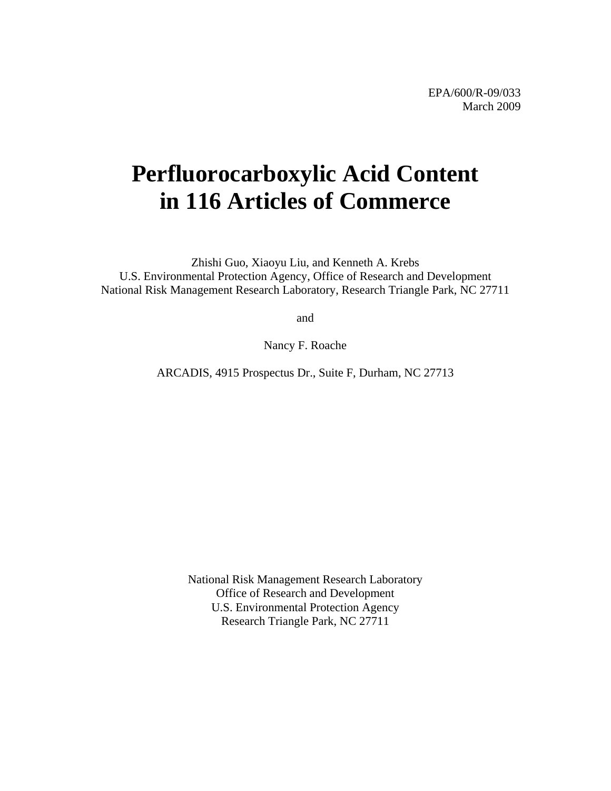# **Perfluorocarboxylic Acid Content in 116 Articles of Commerce**

Zhishi Guo, Xiaoyu Liu, and Kenneth A. Krebs U.S. Environmental Protection Agency, Office of Research and Development National Risk Management Research Laboratory, Research Triangle Park, NC 27711

and

Nancy F. Roache

ARCADIS, 4915 Prospectus Dr., Suite F, Durham, NC 27713

National Risk Management Research Laboratory Office of Research and Development U.S. Environmental Protection Agency Research Triangle Park, NC 27711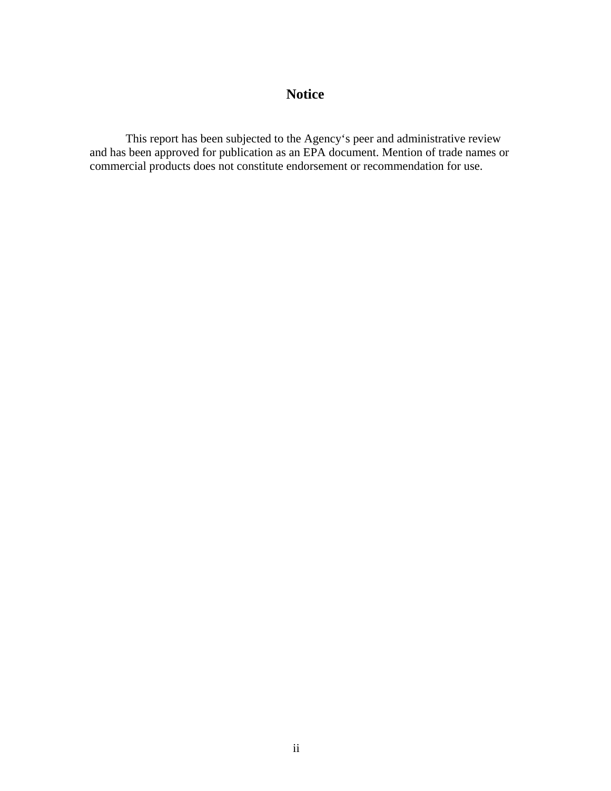# **Notice**

<span id="page-1-0"></span>This report has been subjected to the Agency's peer and administrative review and has been approved for publication as an EPA document. Mention of trade names or commercial products does not constitute endorsement or recommendation for use.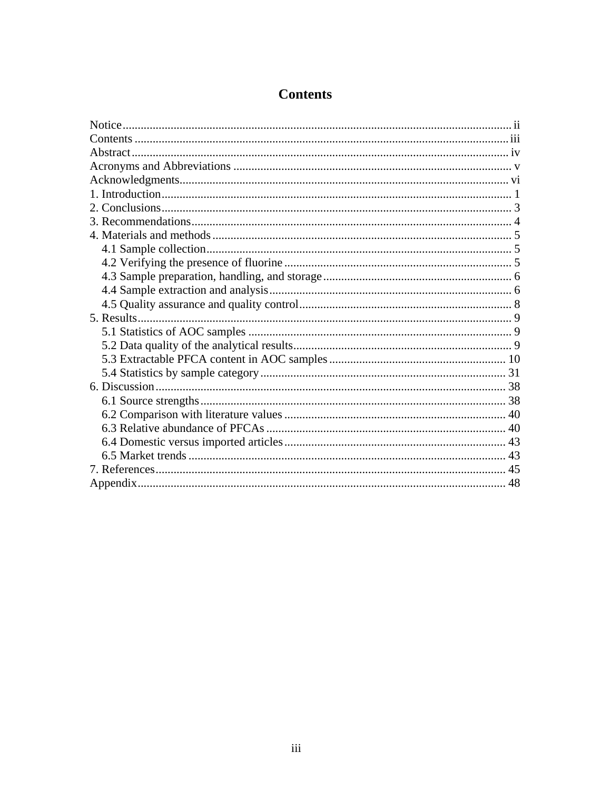<span id="page-2-0"></span>

# **Contents**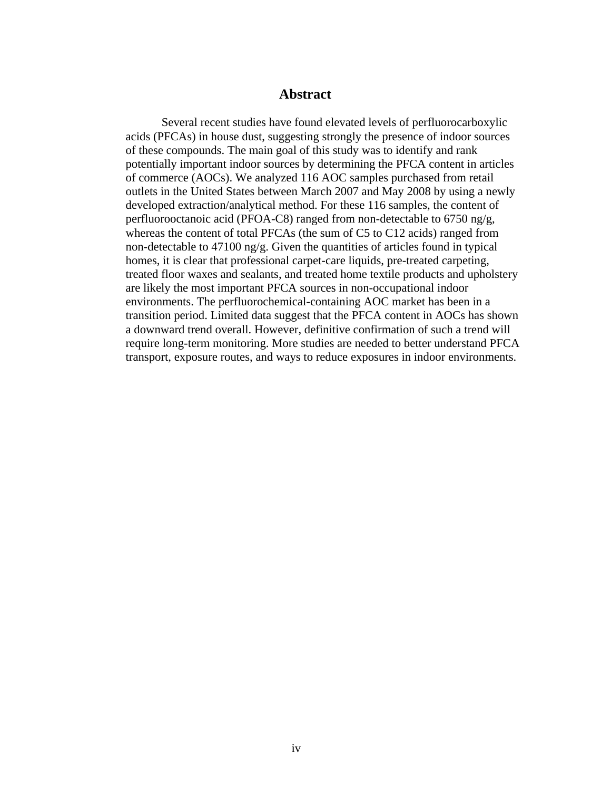## **Abstract**

<span id="page-3-0"></span>Several recent studies have found elevated levels of perfluorocarboxylic acids (PFCAs) in house dust, suggesting strongly the presence of indoor sources of these compounds. The main goal of this study was to identify and rank potentially important indoor sources by determining the PFCA content in articles of commerce (AOCs). We analyzed 116 AOC samples purchased from retail outlets in the United States between March 2007 and May 2008 by using a newly developed extraction/analytical method. For these 116 samples, the content of perfluorooctanoic acid (PFOA-C8) ranged from non-detectable to 6750 ng/g, whereas the content of total PFCAs (the sum of C5 to C12 acids) ranged from non-detectable to 47100 ng/g. Given the quantities of articles found in typical homes, it is clear that professional carpet-care liquids, pre-treated carpeting, treated floor waxes and sealants, and treated home textile products and upholstery are likely the most important PFCA sources in non-occupational indoor environments. The perfluorochemical-containing AOC market has been in a transition period. Limited data suggest that the PFCA content in AOCs has shown a downward trend overall. However, definitive confirmation of such a trend will require long-term monitoring. More studies are needed to better understand PFCA transport, exposure routes, and ways to reduce exposures in indoor environments.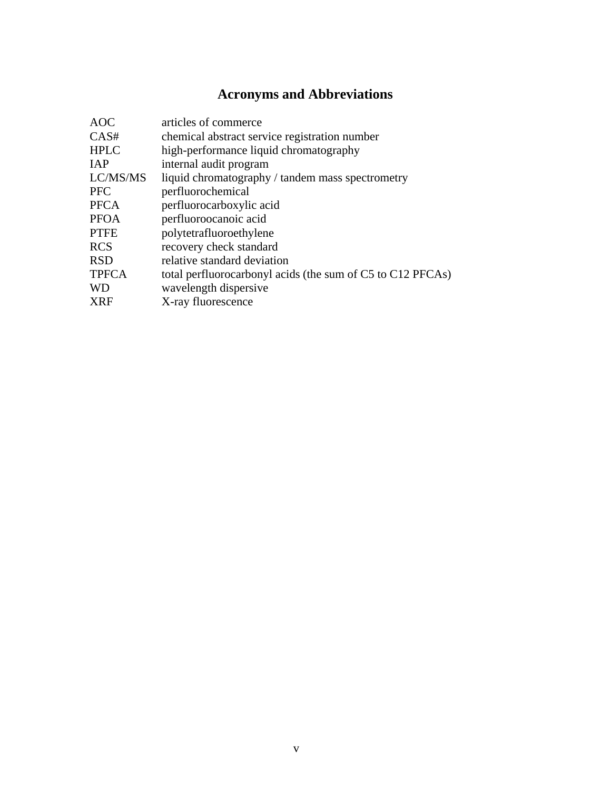# **Acronyms and Abbreviations**

<span id="page-4-0"></span>

| <b>AOC</b>   | articles of commerce                                       |
|--------------|------------------------------------------------------------|
| CAS#         | chemical abstract service registration number              |
| <b>HPLC</b>  | high-performance liquid chromatography                     |
| <b>IAP</b>   | internal audit program                                     |
| LC/MS/MS     | liquid chromatography / tandem mass spectrometry           |
| <b>PFC</b>   | perfluorochemical                                          |
| <b>PFCA</b>  | perfluorocarboxylic acid                                   |
| <b>PFOA</b>  | perfluoroocanoic acid                                      |
| <b>PTFE</b>  | polytetrafluoroethylene                                    |
| <b>RCS</b>   | recovery check standard                                    |
| <b>RSD</b>   | relative standard deviation                                |
| <b>TPFCA</b> | total perfluorocarbonyl acids (the sum of C5 to C12 PFCAs) |
| <b>WD</b>    | wavelength dispersive                                      |
| <b>XRF</b>   | X-ray fluorescence                                         |
|              |                                                            |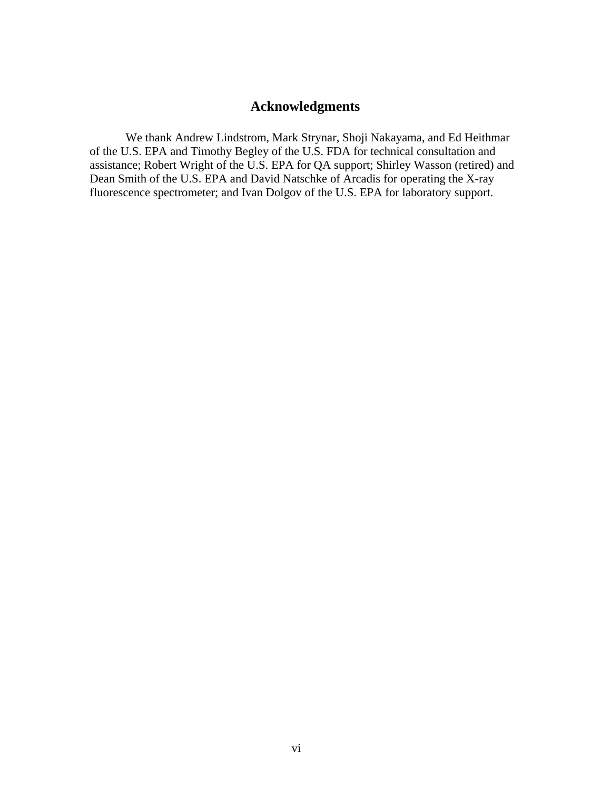## **Acknowledgments**

<span id="page-5-0"></span>We thank Andrew Lindstrom, Mark Strynar, Shoji Nakayama, and Ed Heithmar of the U.S. EPA and Timothy Begley of the U.S. FDA for technical consultation and assistance; Robert Wright of the U.S. EPA for QA support; Shirley Wasson (retired) and Dean Smith of the U.S. EPA and David Natschke of Arcadis for operating the X-ray fluorescence spectrometer; and Ivan Dolgov of the U.S. EPA for laboratory support.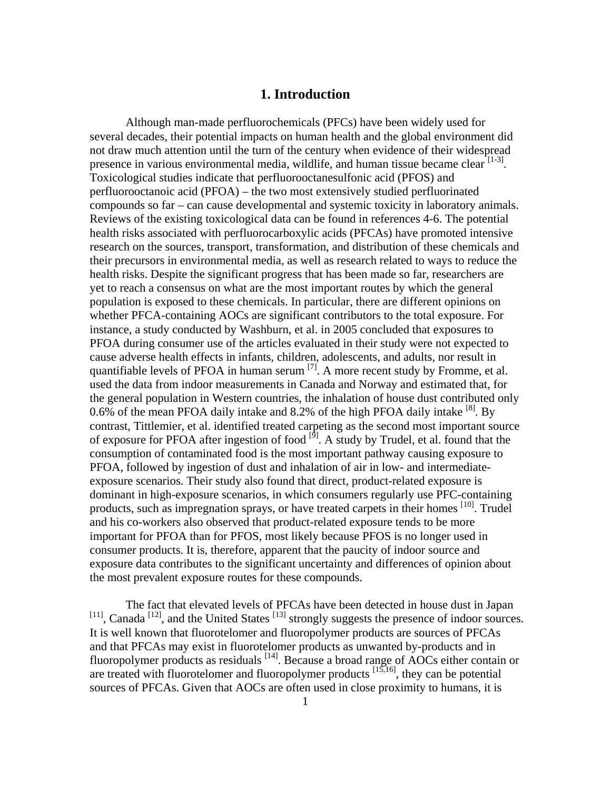## **1. Introduction**

<span id="page-6-0"></span>Although man-made perfluorochemicals (PFCs) have been widely used for several decades, their potential impacts on human health and the global environment did not draw much attention until the turn of the century when evidence of their widespread presence in various environmental media, wildlife, and human tissue became clear  $[1-3]$ . Toxicological studies indicate that perfluorooctanesulfonic acid (PFOS) and perfluorooctanoic acid (PFOA) – the two most extensively studied perfluorinated compounds so far – can cause developmental and systemic toxicity in laboratory animals. Reviews of the existing toxicological data can be found in references 4-6. The potential health risks associated with perfluorocarboxylic acids (PFCAs) have promoted intensive research on the sources, transport, transformation, and distribution of these chemicals and their precursors in environmental media, as well as research related to ways to reduce the health risks. Despite the significant progress that has been made so far, researchers are yet to reach a consensus on what are the most important routes by which the general population is exposed to these chemicals. In particular, there are different opinions on whether PFCA-containing AOCs are significant contributors to the total exposure. For instance, a study conducted by Washburn, et al. in 2005 concluded that exposures to PFOA during consumer use of the articles evaluated in their study were not expected to cause adverse health effects in infants, children, adolescents, and adults, nor result in quantifiable levels of PFOA in human serum  $^{[7]}$ . A more recent study by Fromme, et al. used the data from indoor measurements in Canada and Norway and estimated that, for the general population in Western countries, the inhalation of house dust contributed only 0.6% of the mean PFOA daily intake and 8.2% of the high PFOA daily intake  $^{[8]}$ . By contrast, Tittlemier, et al. identified treated carpeting as the second most important source of exposure for PFOA after ingestion of food  $\left[\right]$ <sup>[9]</sup>. A study by Trudel, et al. found that the consumption of contaminated food is the most important pathway causing exposure to PFOA, followed by ingestion of dust and inhalation of air in low- and intermediateexposure scenarios. Their study also found that direct, product-related exposure is dominant in high-exposure scenarios, in which consumers regularly use PFC-containing products, such as impregnation sprays, or have treated carpets in their homes [10]. Trudel and his co-workers also observed that product-related exposure tends to be more important for PFOA than for PFOS, most likely because PFOS is no longer used in consumer products. It is, therefore, apparent that the paucity of indoor source and exposure data contributes to the significant uncertainty and differences of opinion about the most prevalent exposure routes for these compounds.

The fact that elevated levels of PFCAs have been detected in house dust in Japan  $[11]$ , Canada<sup>[12]</sup>, and the United States<sup>[13]</sup> strongly suggests the presence of indoor sources. It is well known that fluorotelomer and fluoropolymer products are sources of PFCAs and that PFCAs may exist in fluorotelomer products as unwanted by-products and in fluoropolymer products as residuals <sup>[14]</sup>. Because a broad range of AOCs either contain or are treated with fluorotelomer and fluoropolymer products  $[15,16]$ , they can be potential sources of PFCAs. Given that AOCs are often used in close proximity to humans, it is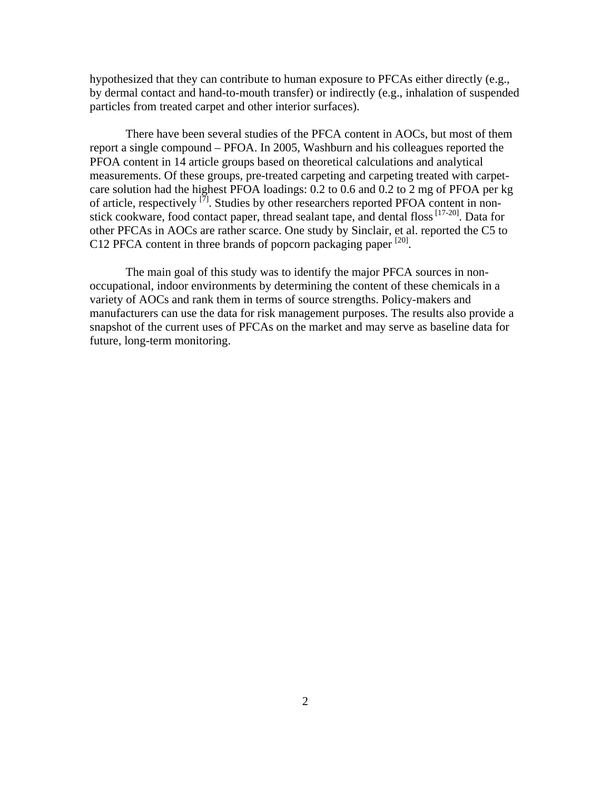hypothesized that they can contribute to human exposure to PFCAs either directly (e.g., by dermal contact and hand-to-mouth transfer) or indirectly (e.g., inhalation of suspended particles from treated carpet and other interior surfaces).

There have been several studies of the PFCA content in AOCs, but most of them report a single compound – PFOA. In 2005, Washburn and his colleagues reported the PFOA content in 14 article groups based on theoretical calculations and analytical measurements. Of these groups, pre-treated carpeting and carpeting treated with carpetcare solution had the highest PFOA loadings:  $0.2$  to  $0.6$  and  $0.2$  to  $2 \text{ mg}$  of PFOA per kg of article, respectively  $\left[\tilde{7}\right]$ . Studies by other researchers reported PFOA content in nonstick cookware, food contact paper, thread sealant tape, and dental floss  $[17-20]$ . Data for other PFCAs in AOCs are rather scarce. One study by Sinclair, et al. reported the C5 to C12 PFCA content in three brands of popcorn packaging paper <sup>[20]</sup>.

The main goal of this study was to identify the major PFCA sources in nonoccupational, indoor environments by determining the content of these chemicals in a variety of AOCs and rank them in terms of source strengths. Policy-makers and manufacturers can use the data for risk management purposes. The results also provide a snapshot of the current uses of PFCAs on the market and may serve as baseline data for future, long-term monitoring.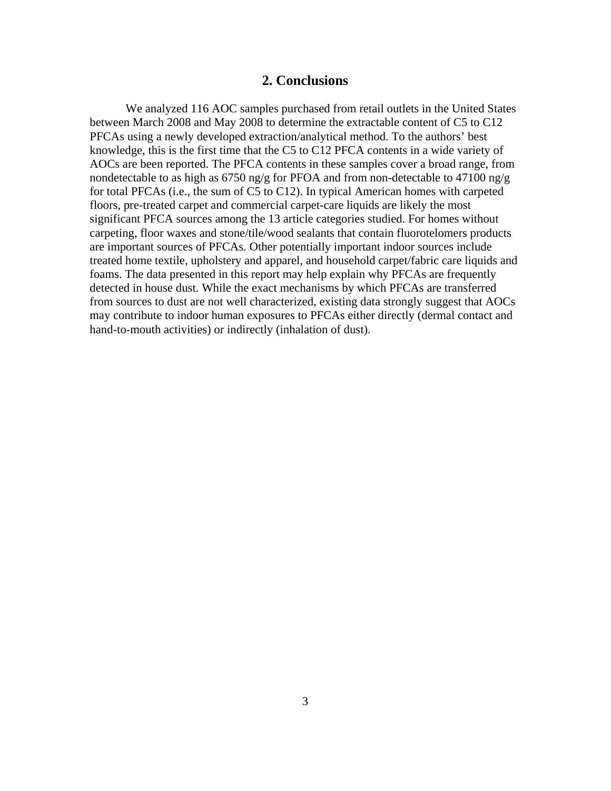## **2. Conclusions**

<span id="page-8-0"></span>We analyzed 116 AOC samples purchased from retail outlets in the United States between March 2008 and May 2008 to determine the extractable content of C5 to C12 PFCAs using a newly developed extraction/analytical method. To the authors' best knowledge, this is the first time that the C5 to C12 PFCA contents in a wide variety of AOCs are been reported. The PFCA contents in these samples cover a broad range, from nondetectable to as high as 6750 ng/g for PFOA and from non-detectable to 47100 ng/g for total PFCAs (i.e., the sum of C5 to C12). In typical American homes with carpeted floors, pre-treated carpet and commercial carpet-care liquids are likely the most significant PFCA sources among the 13 article categories studied. For homes without carpeting, floor waxes and stone/tile/wood sealants that contain fluorotelomers products are important sources of PFCAs. Other potentially important indoor sources include treated home textile, upholstery and apparel, and household carpet/fabric care liquids and foams. The data presented in this report may help explain why PFCAs are frequently detected in house dust. While the exact mechanisms by which PFCAs are transferred from sources to dust are not well characterized, existing data strongly suggest that AOCs may contribute to indoor human exposures to PFCAs either directly (dermal contact and hand-to-mouth activities) or indirectly (inhalation of dust).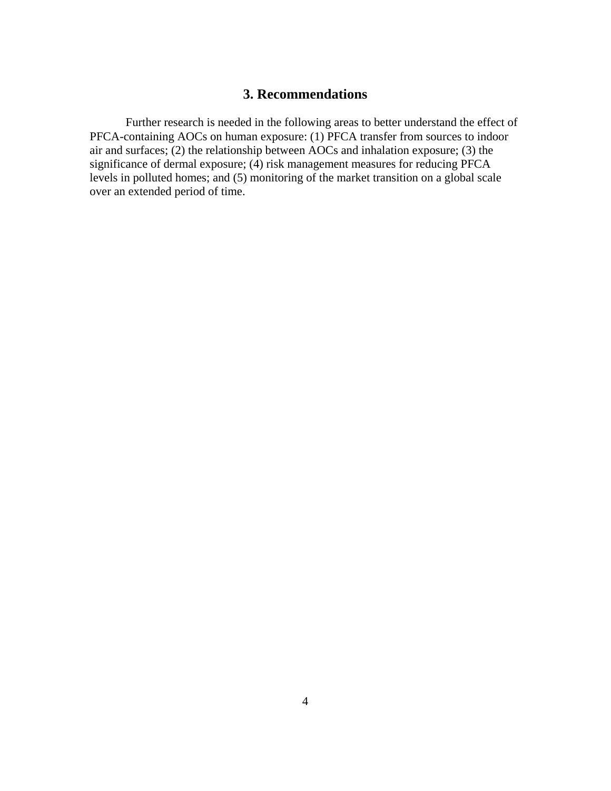## **3. Recommendations**

<span id="page-9-0"></span>Further research is needed in the following areas to better understand the effect of PFCA-containing AOCs on human exposure: (1) PFCA transfer from sources to indoor air and surfaces; (2) the relationship between AOCs and inhalation exposure; (3) the significance of dermal exposure; (4) risk management measures for reducing PFCA levels in polluted homes; and (5) monitoring of the market transition on a global scale over an extended period of time.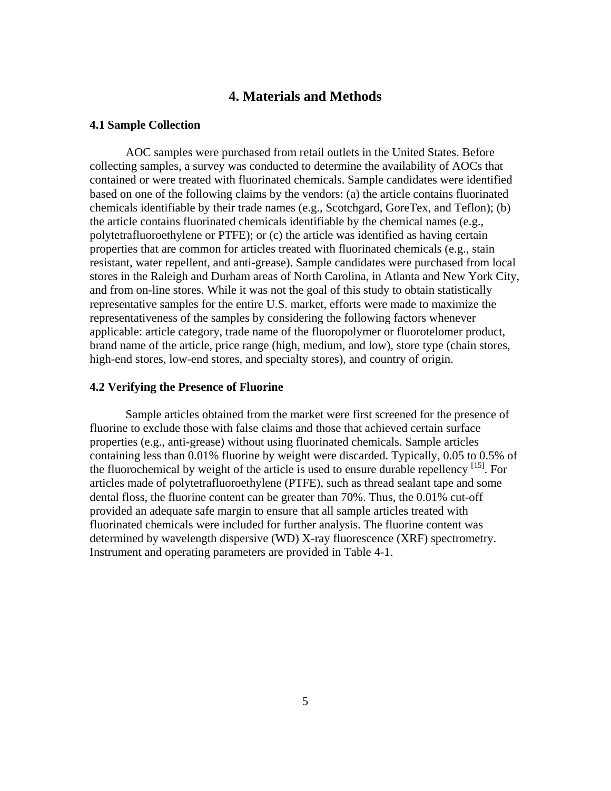## **4. Materials and Methods**

#### <span id="page-10-0"></span>**4.1 Sample Collection**

AOC samples were purchased from retail outlets in the United States. Before collecting samples, a survey was conducted to determine the availability of AOCs that contained or were treated with fluorinated chemicals. Sample candidates were identified based on one of the following claims by the vendors: (a) the article contains fluorinated chemicals identifiable by their trade names (e.g., Scotchgard, GoreTex, and Teflon); (b) the article contains fluorinated chemicals identifiable by the chemical names (e.g., polytetrafluoroethylene or PTFE); or (c) the article was identified as having certain properties that are common for articles treated with fluorinated chemicals (e.g., stain resistant, water repellent, and anti-grease). Sample candidates were purchased from local stores in the Raleigh and Durham areas of North Carolina, in Atlanta and New York City, and from on-line stores. While it was not the goal of this study to obtain statistically representative samples for the entire U.S. market, efforts were made to maximize the representativeness of the samples by considering the following factors whenever applicable: article category, trade name of the fluoropolymer or fluorotelomer product, brand name of the article, price range (high, medium, and low), store type (chain stores, high-end stores, low-end stores, and specialty stores), and country of origin.

#### **4.2 Verifying the Presence of Fluorine**

Sample articles obtained from the market were first screened for the presence of fluorine to exclude those with false claims and those that achieved certain surface properties (e.g., anti-grease) without using fluorinated chemicals. Sample articles containing less than 0.01% fluorine by weight were discarded. Typically, 0.05 to 0.5% of the fluorochemical by weight of the article is used to ensure durable repellency  $^{[15]}$ . For articles made of polytetrafluoroethylene (PTFE), such as thread sealant tape and some dental floss, the fluorine content can be greater than 70%. Thus, the 0.01% cut-off provided an adequate safe margin to ensure that all sample articles treated with fluorinated chemicals were included for further analysis. The fluorine content was determined by wavelength dispersive (WD) X-ray fluorescence (XRF) spectrometry. Instrument and operating parameters are provided in Table 4-1.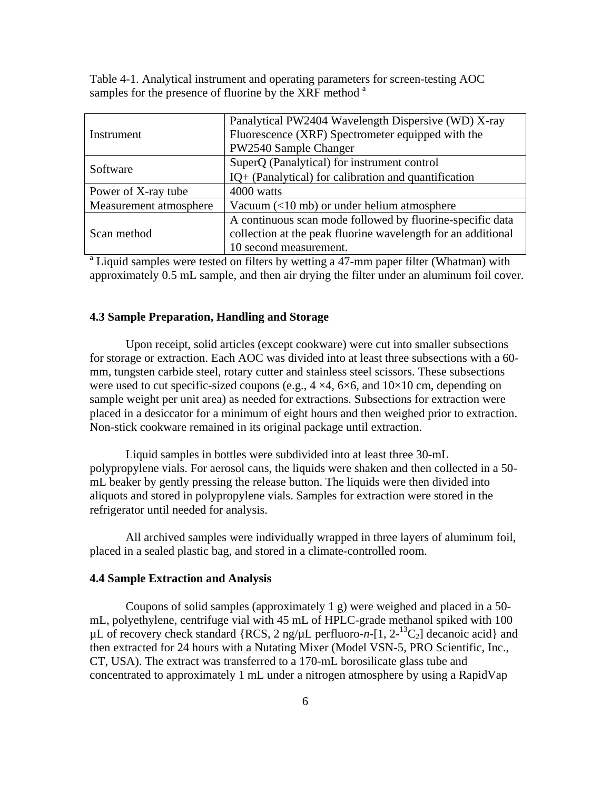<span id="page-11-0"></span>Table 4-1. Analytical instrument and operating parameters for screen-testing AOC samples for the presence of fluorine by the XRF method <sup>a</sup>

|                                                                                                   | Panalytical PW2404 Wavelength Dispersive (WD) X-ray          |  |  |  |  |
|---------------------------------------------------------------------------------------------------|--------------------------------------------------------------|--|--|--|--|
| Instrument                                                                                        | Fluorescence (XRF) Spectrometer equipped with the            |  |  |  |  |
|                                                                                                   | PW2540 Sample Changer                                        |  |  |  |  |
| Software                                                                                          | SuperQ (Panalytical) for instrument control                  |  |  |  |  |
|                                                                                                   | IQ+ (Panalytical) for calibration and quantification         |  |  |  |  |
| Power of X-ray tube                                                                               | 4000 watts                                                   |  |  |  |  |
| Measurement atmosphere                                                                            | Vacuum $(<$ 10 mb) or under helium atmosphere                |  |  |  |  |
|                                                                                                   | A continuous scan mode followed by fluorine-specific data    |  |  |  |  |
| Scan method                                                                                       | collection at the peak fluorine wavelength for an additional |  |  |  |  |
|                                                                                                   | 10 second measurement.                                       |  |  |  |  |
| <sup>a</sup> Liquid samples were tested on filters by wetting a 47-mm paper filter (Whatman) with |                                                              |  |  |  |  |

approximately 0.5 mL sample, and then air drying the filter under an aluminum foil cover.

#### **4.3 Sample Preparation, Handling and Storage**

Upon receipt, solid articles (except cookware) were cut into smaller subsections for storage or extraction. Each AOC was divided into at least three subsections with a 60 mm, tungsten carbide steel, rotary cutter and stainless steel scissors. These subsections were used to cut specific-sized coupons (e.g.,  $4 \times 4$ ,  $6 \times 6$ , and  $10 \times 10$  cm, depending on sample weight per unit area) as needed for extractions. Subsections for extraction were placed in a desiccator for a minimum of eight hours and then weighed prior to extraction. Non-stick cookware remained in its original package until extraction.

Liquid samples in bottles were subdivided into at least three 30-mL polypropylene vials. For aerosol cans, the liquids were shaken and then collected in a 50 mL beaker by gently pressing the release button. The liquids were then divided into aliquots and stored in polypropylene vials. Samples for extraction were stored in the refrigerator until needed for analysis.

All archived samples were individually wrapped in three layers of aluminum foil, placed in a sealed plastic bag, and stored in a climate-controlled room.

#### **4.4 Sample Extraction and Analysis**

Coupons of solid samples (approximately 1 g) were weighed and placed in a 50 mL, polyethylene, centrifuge vial with 45 mL of HPLC-grade methanol spiked with 100  $\mu$ L of recovery check standard {RCS, 2 ng/ $\mu$ L perfluoro-*n*-[1, 2-<sup>13</sup>C<sub>2</sub>] decanoic acid} and then extracted for 24 hours with a Nutating Mixer (Model VSN-5, PRO Scientific, Inc., CT, USA). The extract was transferred to a 170-mL borosilicate glass tube and concentrated to approximately 1 mL under a nitrogen atmosphere by using a RapidVap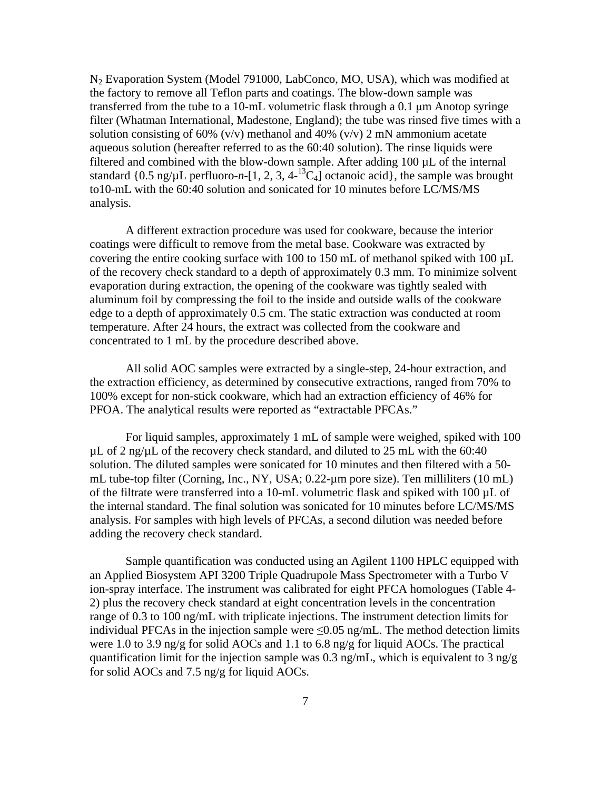N2 Evaporation System (Model 791000, LabConco, MO, USA), which was modified at the factory to remove all Teflon parts and coatings. The blow-down sample was transferred from the tube to a 10-mL volumetric flask through a 0.1 μm Anotop syringe filter (Whatman International, Madestone, England); the tube was rinsed five times with a solution consisting of 60% (v/v) methanol and 40% (v/v) 2 mN ammonium acetate aqueous solution (hereafter referred to as the 60:40 solution). The rinse liquids were filtered and combined with the blow-down sample. After adding 100 µL of the internal standard  $\{0.5 \text{ ng/µL} \text{ perfluoro-}n-[1, 2, 3, 4-13C_4] \text{ octanotic acid}\},\$ the sample was brought to10-mL with the 60:40 solution and sonicated for 10 minutes before LC/MS/MS analysis.

A different extraction procedure was used for cookware, because the interior coatings were difficult to remove from the metal base. Cookware was extracted by covering the entire cooking surface with 100 to 150 mL of methanol spiked with 100 µL of the recovery check standard to a depth of approximately 0.3 mm. To minimize solvent evaporation during extraction, the opening of the cookware was tightly sealed with aluminum foil by compressing the foil to the inside and outside walls of the cookware edge to a depth of approximately 0.5 cm. The static extraction was conducted at room temperature. After 24 hours, the extract was collected from the cookware and concentrated to 1 mL by the procedure described above.

All solid AOC samples were extracted by a single-step, 24-hour extraction, and the extraction efficiency, as determined by consecutive extractions, ranged from 70% to 100% except for non-stick cookware, which had an extraction efficiency of 46% for PFOA. The analytical results were reported as "extractable PFCAs."

For liquid samples, approximately 1 mL of sample were weighed, spiked with 100  $\mu$ L of 2 ng/ $\mu$ L of the recovery check standard, and diluted to 25 mL with the 60:40 solution. The diluted samples were sonicated for 10 minutes and then filtered with a 50 mL tube-top filter (Corning, Inc., NY, USA; 0.22-µm pore size). Ten milliliters (10 mL) of the filtrate were transferred into a 10-mL volumetric flask and spiked with 100  $\mu$ L of the internal standard. The final solution was sonicated for 10 minutes before LC/MS/MS analysis. For samples with high levels of PFCAs, a second dilution was needed before adding the recovery check standard.

Sample quantification was conducted using an Agilent 1100 HPLC equipped with an Applied Biosystem API 3200 Triple Quadrupole Mass Spectrometer with a Turbo V ion-spray interface. The instrument was calibrated for eight PFCA homologues (Table 4 2) plus the recovery check standard at eight concentration levels in the concentration range of 0.3 to 100 ng/mL with triplicate injections. The instrument detection limits for individual PFCAs in the injection sample were  $\leq 0.05$  ng/mL. The method detection limits were 1.0 to 3.9 ng/g for solid AOCs and 1.1 to 6.8 ng/g for liquid AOCs. The practical quantification limit for the injection sample was 0.3 ng/mL, which is equivalent to 3 ng/g for solid AOCs and 7.5 ng/g for liquid AOCs.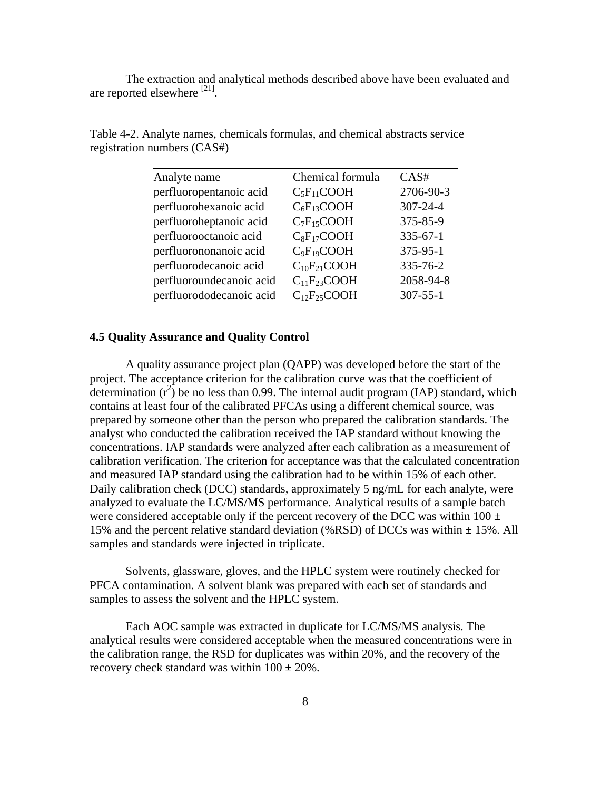<span id="page-13-0"></span>The extraction and analytical methods described above have been evaluated and are reported elsewhere <sup>[21]</sup>.

| Analyte name             | Chemical formula   | CAS#           |
|--------------------------|--------------------|----------------|
| perfluoropentanoic acid  | $C_5F_{11}COOH$    | 2706-90-3      |
| perfluorohexanoic acid   | $C_6F_{13}COOH$    | 307-24-4       |
| perfluoroheptanoic acid  | $C_7F_{15}COOH$    | 375-85-9       |
| perfluorooctanoic acid   | $C_8F_{17}COOH$    | $335 - 67 - 1$ |
| perfluorononanoic acid   | $C_9F_{19}COOH$    | 375-95-1       |
| perfluorodecanoic acid   | $C_{10}F_{21}COOH$ | 335-76-2       |
| perfluoroundecanoic acid | $C_{11}F_{23}COOH$ | 2058-94-8      |
| perfluorododecanoic acid | $C_{12}F_{25}COOH$ | $307 - 55 - 1$ |

Table 4-2. Analyte names, chemicals formulas, and chemical abstracts service registration numbers (CAS#)

#### **4.5 Quality Assurance and Quality Control**

A quality assurance project plan (QAPP) was developed before the start of the project. The acceptance criterion for the calibration curve was that the coefficient of determination  $(r^2)$  be no less than 0.99. The internal audit program (IAP) standard, which contains at least four of the calibrated PFCAs using a different chemical source, was prepared by someone other than the person who prepared the calibration standards. The analyst who conducted the calibration received the IAP standard without knowing the concentrations. IAP standards were analyzed after each calibration as a measurement of calibration verification. The criterion for acceptance was that the calculated concentration and measured IAP standard using the calibration had to be within 15% of each other. Daily calibration check (DCC) standards, approximately 5 ng/mL for each analyte, were analyzed to evaluate the LC/MS/MS performance. Analytical results of a sample batch were considered acceptable only if the percent recovery of the DCC was within  $100 \pm$ 15% and the percent relative standard deviation (%RSD) of DCCs was within  $\pm$  15%. All samples and standards were injected in triplicate.

Solvents, glassware, gloves, and the HPLC system were routinely checked for PFCA contamination. A solvent blank was prepared with each set of standards and samples to assess the solvent and the HPLC system.

Each AOC sample was extracted in duplicate for LC/MS/MS analysis. The analytical results were considered acceptable when the measured concentrations were in the calibration range, the RSD for duplicates was within 20%, and the recovery of the recovery check standard was within  $100 \pm 20\%$ .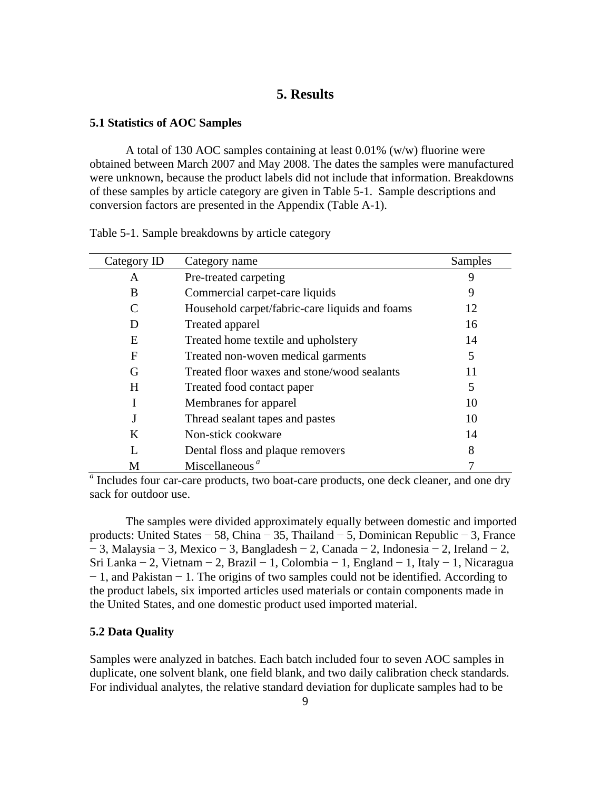## **5. Results**

#### <span id="page-14-0"></span>**5.1 Statistics of AOC Samples**

A total of 130 AOC samples containing at least 0.01% (w/w) fluorine were obtained between March 2007 and May 2008. The dates the samples were manufactured were unknown, because the product labels did not include that information. Breakdowns of these samples by article category are given in Table 5-1. Sample descriptions and conversion factors are presented in the Appendix (Table A-1).

| Category ID | Category name                                                                          | Samples |
|-------------|----------------------------------------------------------------------------------------|---------|
| A           | Pre-treated carpeting                                                                  |         |
| B           | Commercial carpet-care liquids                                                         | 9       |
|             | Household carpet/fabric-care liquids and foams                                         | 12      |
| D           | Treated apparel                                                                        | 16      |
| E           | Treated home textile and upholstery                                                    | 14      |
| F           | Treated non-woven medical garments                                                     | 5       |
| G           | Treated floor waxes and stone/wood sealants                                            | 11      |
| H           | Treated food contact paper                                                             | 5       |
|             | Membranes for apparel                                                                  | 10      |
|             | Thread sealant tapes and pastes                                                        | 10      |
| K           | Non-stick cookware                                                                     | 14      |
|             | Dental floss and plaque removers                                                       | 8       |
| М           | Miscellaneous <sup>a</sup>                                                             |         |
|             | Includes four car-care products, two boat-care products, one deck cleaner, and one dry |         |

Table 5-1. Sample breakdowns by article category

sack for outdoor use.

The samples were divided approximately equally between domestic and imported products: United States − 58, China − 35, Thailand − 5, Dominican Republic − 3, France − 3, Malaysia − 3, Mexico − 3, Bangladesh − 2, Canada − 2, Indonesia − 2, Ireland − 2, Sri Lanka − 2, Vietnam − 2, Brazil − 1, Colombia − 1, England − 1, Italy − 1, Nicaragua − 1, and Pakistan − 1. The origins of two samples could not be identified. According to the product labels, six imported articles used materials or contain components made in the United States, and one domestic product used imported material.

## **5.2 Data Quality**

Samples were analyzed in batches. Each batch included four to seven AOC samples in duplicate, one solvent blank, one field blank, and two daily calibration check standards. For individual analytes, the relative standard deviation for duplicate samples had to be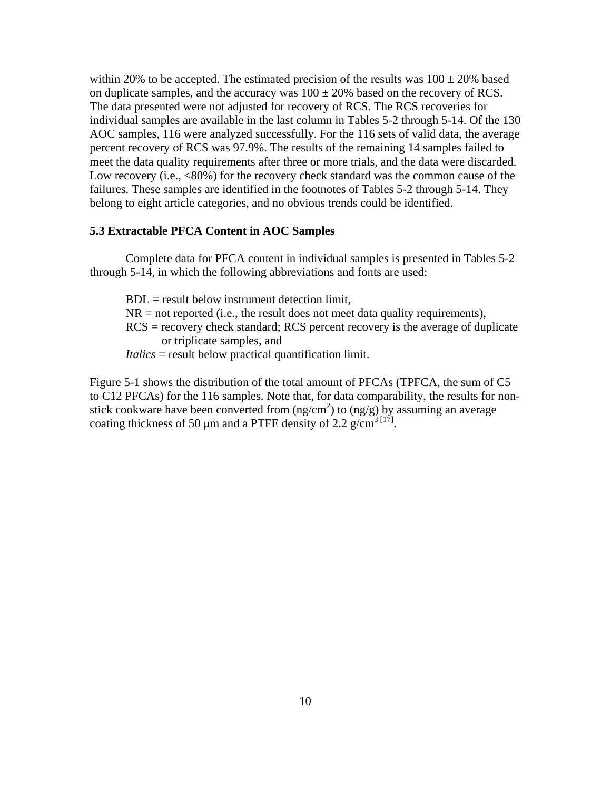<span id="page-15-0"></span>within 20% to be accepted. The estimated precision of the results was  $100 \pm 20\%$  based on duplicate samples, and the accuracy was  $100 \pm 20\%$  based on the recovery of RCS. The data presented were not adjusted for recovery of RCS. The RCS recoveries for individual samples are available in the last column in Tables 5-2 through 5-14. Of the 130 AOC samples, 116 were analyzed successfully. For the 116 sets of valid data, the average percent recovery of RCS was 97.9%. The results of the remaining 14 samples failed to meet the data quality requirements after three or more trials, and the data were discarded. Low recovery (i.e.,  $\langle 80\% \rangle$ ) for the recovery check standard was the common cause of the failures. These samples are identified in the footnotes of Tables 5-2 through 5-14. They belong to eight article categories, and no obvious trends could be identified.

## **5.3 Extractable PFCA Content in AOC Samples**

Complete data for PFCA content in individual samples is presented in Tables 5-2 through 5-14, in which the following abbreviations and fonts are used:

 $BDL$  = result below instrument detection limit.  $NR = not reported (i.e., the result does not meet data quality requirements),$ RCS = recovery check standard; RCS percent recovery is the average of duplicate or triplicate samples, and *Italics* = result below practical quantification limit.

Figure 5-1 shows the distribution of the total amount of PFCAs (TPFCA, the sum of C5 to C12 PFCAs) for the 116 samples. Note that, for data comparability, the results for nonstick cookware have been converted from  $(ng/cm^2)$  to  $(ng/g)$  by assuming an average coating thickness of 50  $\mu$ m and a PTFE density of 2.2 g/cm<sup>3 [17]</sup>.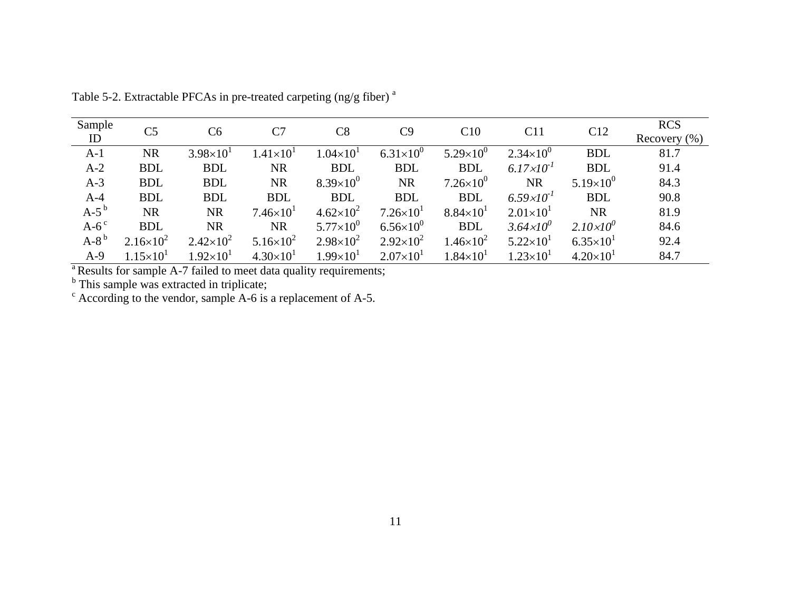| Sample             | C <sub>5</sub>       | C <sub>6</sub>       | C7                 | C8                 | C9                 | C10                  | C11                   | C12                  | <b>RCS</b>       |
|--------------------|----------------------|----------------------|--------------------|--------------------|--------------------|----------------------|-----------------------|----------------------|------------------|
| ID                 |                      |                      |                    |                    |                    |                      |                       |                      | Recovery $(\% )$ |
| $A-1$              | <b>NR</b>            | $3.98 \times 10^{1}$ | $1.41\times10^{1}$ | $1.04\times10^{1}$ | $6.31\times10^{0}$ | $5.29\times10^{0}$   | $2.34\times10^{0}$    | <b>BDL</b>           | 81.7             |
| $A-2$              | <b>BDL</b>           | <b>BDL</b>           | <b>NR</b>          | <b>BDL</b>         | <b>BDL</b>         | <b>BDL</b>           | $6.17 \times 10^{-1}$ | <b>BDL</b>           | 91.4             |
| $A-3$              | <b>BDL</b>           | <b>BDL</b>           | <b>NR</b>          | $8.39\times10^{0}$ | <b>NR</b>          | $7.26\times10^{0}$   | <b>NR</b>             | $5.19\times10^{0}$   | 84.3             |
| $A-4$              | <b>BDL</b>           | <b>BDL</b>           | <b>BDL</b>         | <b>BDL</b>         | <b>BDL</b>         | <b>BDL</b>           | $6.59 \times 10^{-1}$ | <b>BDL</b>           | 90.8             |
| $A-5b$             | <b>NR</b>            | <b>NR</b>            | $7.46\times10^{1}$ | $4.62\times10^{2}$ | $7.26\times10^{1}$ | $8.84\times10^{1}$   | $2.01 \times 10^{1}$  | <b>NR</b>            | 81.9             |
| $A-6$ <sup>c</sup> | <b>BDL</b>           | <b>NR</b>            | <b>NR</b>          | $5.77\times10^{0}$ | $6.56\times10^{0}$ | <b>BDL</b>           | $3.64 \times 10^{0}$  | $2.10\times10^{0}$   | 84.6             |
| $A-8b$             | $2.16\times10^{2}$   | $2.42\times10^{2}$   | $5.16\times10^{2}$ | $2.98\times10^{2}$ | $2.92\times10^{2}$ | $1.46\times10^{2}$   | $5.22\times10^{1}$    | $6.35 \times 10^{1}$ | 92.4             |
| $A-9$              | $1.15 \times 10^{1}$ | $1.92\times10^{1}$   | $4.30\times10^{1}$ | $1.99\times10^{1}$ | $2.07\times10^{1}$ | $1.84 \times 10^{1}$ | $1.23\times10^{1}$    | $4.20\times10^{1}$   | 84.7             |

Table 5-2. Extractable PFCAs in pre-treated carpeting (ng/g fiber)  $^{\rm a}$ 

<sup>a</sup> Results for sample A-7 failed to meet data quality requirements;

<sup>b</sup> This sample was extracted in triplicate;

 $\textdegree$  According to the vendor, sample A-6 is a replacement of A-5.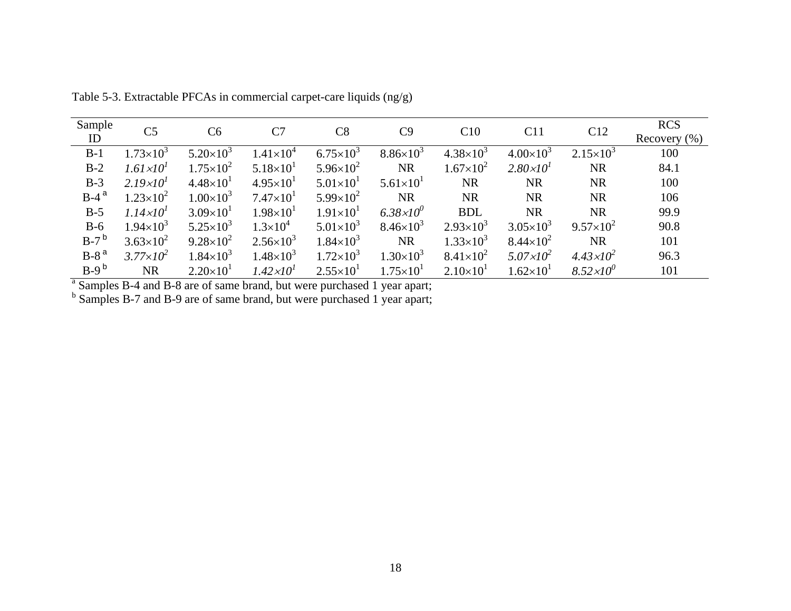| Sample  | C <sub>5</sub>       | C <sub>6</sub>       | C7                   | $\rm{C}8$            | C9                 | C10                | C11                  | C12                  | <b>RCS</b>       |
|---------|----------------------|----------------------|----------------------|----------------------|--------------------|--------------------|----------------------|----------------------|------------------|
| ID      |                      |                      |                      |                      |                    |                    |                      |                      | Recovery $(\% )$ |
| $B-1$   | $1.73\times10^{3}$   | $5.20\times10^{3}$   | $1.41\times10^{4}$   | $6.75 \times 10^{3}$ | $8.86\times10^{3}$ | $4.38\times10^{3}$ | $4.00\times10^{3}$   | $2.15 \times 10^3$   | 100              |
| $B-2$   | $1.61 \times 10^{1}$ | $1.75 \times 10^{2}$ | $5.18\times10^{1}$   | $5.96 \times 10^{2}$ | <b>NR</b>          | $1.67\times10^{2}$ | $2.80 \times 10^{1}$ | <b>NR</b>            | 84.1             |
| $B-3$   | $2.19\times10^{1}$   | $4.48\times10^{1}$   | $4.95 \times 10^{1}$ | $5.01 \times 10^{1}$ | $5.61\times10^{1}$ | <b>NR</b>          | <b>NR</b>            | <b>NR</b>            | 100              |
| $B-4^a$ | $1.23\times10^{2}$   | $1.00\times10^{3}$   | $7.47\times10^{1}$   | $5.99\times10^{2}$   | <b>NR</b>          | <b>NR</b>          | <b>NR</b>            | <b>NR</b>            | 106              |
| $B-5$   | $1.14 \times 10^{1}$ | $3.09\times10^{1}$   | $1.98 \times 10^{1}$ | $1.91 \times 10^{1}$ | $6.38\times10^{0}$ | <b>BDL</b>         | <b>NR</b>            | <b>NR</b>            | 99.9             |
| $B-6$   | $1.94 \times 10^{3}$ | $5.25 \times 10^3$   | $1.3\times10^{4}$    | $5.01\times10^{3}$   | $8.46\times10^{3}$ | $2.93\times10^{3}$ | $3.05 \times 10^{3}$ | $9.57\times10^{2}$   | 90.8             |
| $B-7^b$ | $3.63\times10^{2}$   | $9.28 \times 10^{2}$ | $2.56 \times 10^{3}$ | $1.84\times10^{3}$   | <b>NR</b>          | $1.33\times10^{3}$ | $8.44 \times 10^{2}$ | <b>NR</b>            | 101              |
| $B-8a$  | $3.77 \times 10^{2}$ | $1.84\times10^{3}$   | $1.48\times10^{3}$   | $1.72\times10^{3}$   | $1.30\times10^{3}$ | $8.41\times10^{2}$ | $5.07 \times 10^2$   | $4.43 \times 10^2$   | 96.3             |
| $B-9b$  | <b>NR</b>            | $2.20\times10^{1}$   | $1.42 \times 10^{1}$ | $2.55 \times 10^{1}$ | $1.75\times10^{1}$ | $2.10\times10^{1}$ | $1.62\times10^{1}$   | $8.52 \times 10^{0}$ | 101              |

Table 5-3. Extractable PFCAs in commercial carpet-care liquids (ng/g)

<sup>a</sup> Samples B-4 and B-8 are of same brand, but were purchased 1 year apart;

<sup>b</sup> Samples B-7 and B-9 are of same brand, but were purchased 1 year apart;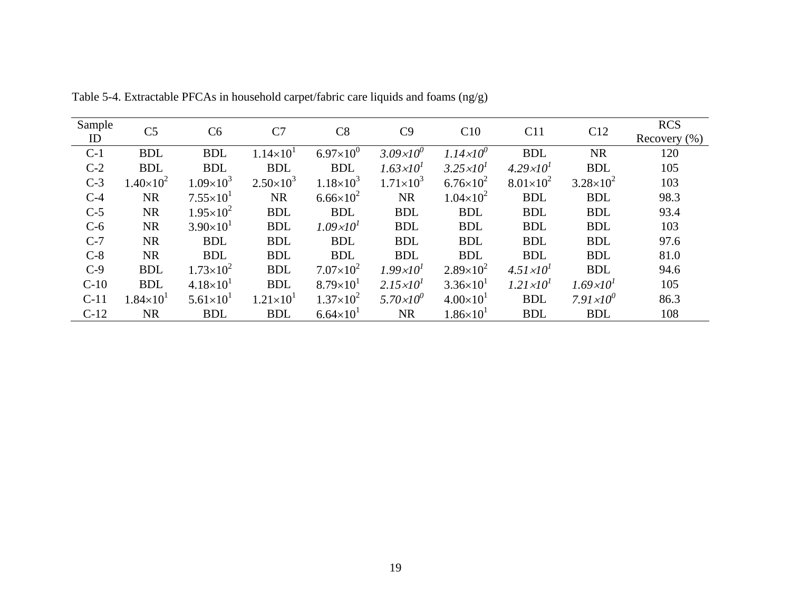| Sample | C <sub>5</sub>     | C6                   | C7                   | C8                   | C9                   | C10                  | C11                  | C12                  | <b>RCS</b>       |
|--------|--------------------|----------------------|----------------------|----------------------|----------------------|----------------------|----------------------|----------------------|------------------|
| ID     |                    |                      |                      |                      |                      |                      |                      |                      | Recovery $(\% )$ |
| $C-1$  | <b>BDL</b>         | <b>BDL</b>           | $1.14 \times 10^{1}$ | $6.97\times10^{0}$   | $3.09 \times 10^{0}$ | $1.14 \times 10^{0}$ | <b>BDL</b>           | <b>NR</b>            | 120              |
| $C-2$  | <b>BDL</b>         | <b>BDL</b>           | <b>BDL</b>           | <b>BDL</b>           | $1.63 \times 10^{1}$ | $3.25 \times 10^{1}$ | $4.29 \times 10^{1}$ | <b>BDL</b>           | 105              |
| $C-3$  | $1.40\times10^{2}$ | $1.09\times10^{3}$   | $2.50\times10^{3}$   | $1.18\times10^{3}$   | $1.71\times10^{3}$   | $6.76 \times 10^{2}$ | $8.01\times10^{2}$   | $3.28 \times 10^{2}$ | 103              |
| $C-4$  | <b>NR</b>          | $7.55 \times 10^{1}$ | <b>NR</b>            | $6.66 \times 10^{2}$ | <b>NR</b>            | $1.04\times10^{2}$   | <b>BDL</b>           | <b>BDL</b>           | 98.3             |
| $C-5$  | <b>NR</b>          | $1.95 \times 10^{2}$ | <b>BDL</b>           | <b>BDL</b>           | <b>BDL</b>           | <b>BDL</b>           | <b>BDL</b>           | <b>BDL</b>           | 93.4             |
| $C-6$  | <b>NR</b>          | $3.90\times10^{1}$   | <b>BDL</b>           | $1.09 \times 10^{1}$ | <b>BDL</b>           | <b>BDL</b>           | <b>BDL</b>           | <b>BDL</b>           | 103              |
| $C-7$  | <b>NR</b>          | <b>BDL</b>           | <b>BDL</b>           | <b>BDL</b>           | <b>BDL</b>           | <b>BDL</b>           | <b>BDL</b>           | <b>BDL</b>           | 97.6             |
| $C-8$  | <b>NR</b>          | <b>BDL</b>           | <b>BDL</b>           | <b>BDL</b>           | <b>BDL</b>           | <b>BDL</b>           | <b>BDL</b>           | <b>BDL</b>           | 81.0             |
| $C-9$  | <b>BDL</b>         | $1.73\times10^{2}$   | <b>BDL</b>           | $7.07\times10^{2}$   | $1.99 \times 10^{1}$ | $2.89\times10^{2}$   | $4.51 \times 10^{1}$ | <b>BDL</b>           | 94.6             |
| $C-10$ | <b>BDL</b>         | $4.18\times10^{1}$   | <b>BDL</b>           | $8.79\times10^{1}$   | $2.15 \times 10^{1}$ | $3.36 \times 10^{1}$ | $1.21 \times 10^{1}$ | $1.69 \times 10^{1}$ | 105              |
| $C-11$ | $1.84\times10^{1}$ | $5.61\times10^{1}$   | $1.21 \times 10^{1}$ | $1.37\times10^{2}$   | $5.70 \times 10^{0}$ | $4.00\times10^{1}$   | <b>BDL</b>           | $7.91 \times 10^{0}$ | 86.3             |
| $C-12$ | <b>NR</b>          | <b>BDL</b>           | <b>BDL</b>           | $6.64 \times 10^{1}$ | <b>NR</b>            | $1.86 \times 10^{1}$ | <b>BDL</b>           | <b>BDL</b>           | 108              |

Table 5-4. Extractable PFCAs in household carpet/fabric care liquids and foams (ng/g)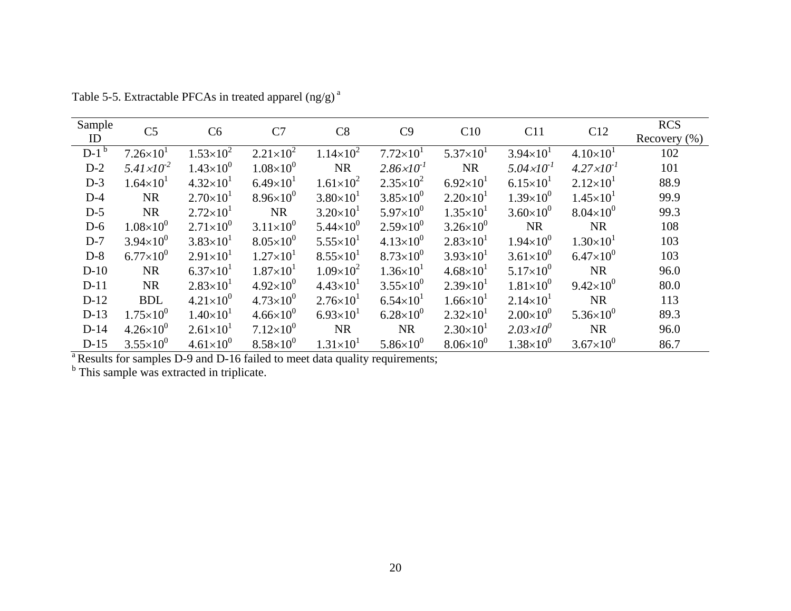| Sample<br>ID | C <sub>5</sub>        | C6                   | C7                   | C8                   | C9                    | C10                  | C11                   | C12                   | <b>RCS</b><br>Recovery $(\% )$ |
|--------------|-----------------------|----------------------|----------------------|----------------------|-----------------------|----------------------|-----------------------|-----------------------|--------------------------------|
| $D-1^b$      | $7.26 \times 10^{1}$  | $1.53\times10^{2}$   | $2.21 \times 10^{2}$ | $1.14 \times 10^{2}$ | $7.72\times10^{1}$    | $5.37\times10^{1}$   | $3.94 \times 10^{1}$  | $4.10\times10^{1}$    | 102                            |
| $D-2$        | $5.41 \times 10^{-2}$ | $1.43\times10^{0}$   | $1.08\times10^{0}$   | <b>NR</b>            | $2.86 \times 10^{-1}$ | <b>NR</b>            | $5.04 \times 10^{-1}$ | $4.27 \times 10^{-1}$ | 101                            |
| $D-3$        | $1.64 \times 10^{1}$  | $4.32\times10^{1}$   | $6.49\times10^{1}$   | $1.61\times10^{2}$   | $2.35\times10^{2}$    | $6.92\times10^{1}$   | $6.15 \times 10^{1}$  | $2.12\times10^{1}$    | 88.9                           |
| $D-4$        | <b>NR</b>             | $2.70\times10^{1}$   | $8.96\times10^{0}$   | $3.80\times10^{1}$   | $3.85 \times 10^{0}$  | $2.20\times10^{1}$   | $1.39\times10^{0}$    | $1.45 \times 10^{1}$  | 99.9                           |
| $D-5$        | <b>NR</b>             | $2.72 \times 10^{1}$ | <b>NR</b>            | $3.20\times10^{1}$   | $5.97\times10^{0}$    | $1.35 \times 10^{1}$ | $3.60\times10^{0}$    | $8.04\times10^{0}$    | 99.3                           |
| $D-6$        | $1.08\times10^{0}$    | $2.71\times10^{0}$   | $3.11\times10^{0}$   | $5.44 \times 10^{0}$ | $2.59\times10^{0}$    | $3.26 \times 10^{0}$ | <b>NR</b>             | <b>NR</b>             | 108                            |
| $D-7$        | $3.94 \times 10^{0}$  | $3.83\times10^{1}$   | $8.05 \times 10^{0}$ | $5.55 \times 10^{1}$ | $4.13\times10^{0}$    | $2.83 \times 10^{1}$ | $1.94\times10^{0}$    | $1.30\times10^{1}$    | 103                            |
| $D-8$        | $6.77\times10^{0}$    | $2.91 \times 10^{1}$ | $1.27\times10^{1}$   | $8.55 \times 10^{1}$ | $8.73\times10^{0}$    | $3.93 \times 10^{1}$ | $3.61\times10^{0}$    | $6.47\times10^{0}$    | 103                            |
| $D-10$       | <b>NR</b>             | $6.37\times10^{1}$   | $1.87\times10^{1}$   | $1.09\times10^{2}$   | $1.36\times10^{1}$    | $4.68 \times 10^{1}$ | $5.17\times10^{0}$    | <b>NR</b>             | 96.0                           |
| $D-11$       | <b>NR</b>             | $2.83\times10^{1}$   | $4.92\times10^{0}$   | $4.43\times10^{1}$   | $3.55 \times 10^{0}$  | $2.39\times10^{1}$   | $1.81\times10^{0}$    | $9.42\times10^{0}$    | 80.0                           |
| $D-12$       | <b>BDL</b>            | $4.21\times10^{0}$   | $4.73\times10^{0}$   | $2.76 \times 10^{1}$ | $6.54 \times 10^{1}$  | $1.66 \times 10^{1}$ | $2.14 \times 10^{1}$  | <b>NR</b>             | 113                            |
| $D-13$       | $1.75 \times 10^{0}$  | $1.40\times10^{1}$   | $4.66\times10^{0}$   | $6.93\times10^{1}$   | $6.28\times10^{0}$    | $2.32\times10^{1}$   | $2.00\times10^{0}$    | $5.36\times10^{0}$    | 89.3                           |
| $D-14$       | $4.26\times10^{0}$    | $2.61\times10^{1}$   | $7.12\times10^{0}$   | <b>NR</b>            | <b>NR</b>             | $2.30\times10^{1}$   | $2.03 \times 10^{0}$  | <b>NR</b>             | 96.0                           |
| $D-15$       | $3.55 \times 10^{0}$  | $4.61\times10^{0}$   | $8.58\times10^{0}$   | $1.31\times10^{1}$   | $5.86\times10^{0}$    | $8.06\times10^{0}$   | $1.38\times10^{0}$    | $3.67\times10^{0}$    | 86.7                           |

Table 5-5. Extractable PFCAs in treated apparel (ng/g)<sup>a</sup>

**a** Results for samples D-9 and D-16 failed to meet data quality requirements;

<sup>b</sup> This sample was extracted in triplicate.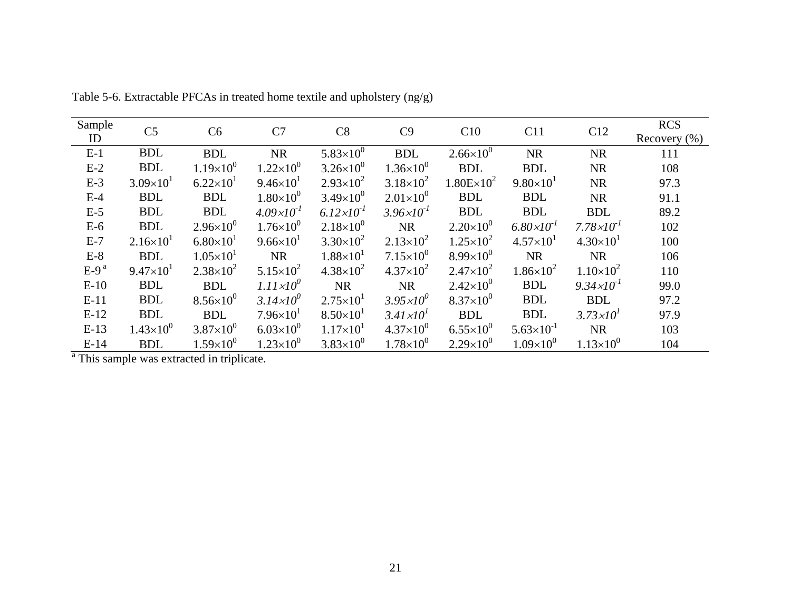| Sample | C <sub>5</sub>       | C <sub>6</sub>       | C7                    | C8                    | C9                    | C10                  | C11                   | C12                   | <b>RCS</b>       |
|--------|----------------------|----------------------|-----------------------|-----------------------|-----------------------|----------------------|-----------------------|-----------------------|------------------|
| ID     |                      |                      |                       |                       |                       |                      |                       |                       | Recovery $(\% )$ |
| $E-1$  | <b>BDL</b>           | <b>BDL</b>           | <b>NR</b>             | $5.83\times10^{0}$    | <b>BDL</b>            | $2.66 \times 10^{0}$ | <b>NR</b>             | <b>NR</b>             | 111              |
| $E-2$  | <b>BDL</b>           | $1.19\times10^{0}$   | $1.22\times10^{0}$    | $3.26 \times 10^{0}$  | $1.36\times10^{0}$    | <b>BDL</b>           | <b>BDL</b>            | <b>NR</b>             | 108              |
| $E-3$  | $3.09\times10^{1}$   | $6.22\times10^{1}$   | $9.46 \times 10^{1}$  | $2.93\times10^{2}$    | $3.18\times10^{2}$    | $1.80E \times 10^2$  | $9.80\times10^{1}$    | <b>NR</b>             | 97.3             |
| $E-4$  | <b>BDL</b>           | <b>BDL</b>           | $1.80\times10^{0}$    | $3.49\times10^{0}$    | $2.01\times10^{0}$    | <b>BDL</b>           | <b>BDL</b>            | <b>NR</b>             | 91.1             |
| $E-5$  | <b>BDL</b>           | <b>BDL</b>           | $4.09 \times 10^{-1}$ | $6.12 \times 10^{-1}$ | $3.96 \times 10^{-1}$ | <b>BDL</b>           | <b>BDL</b>            | <b>BDL</b>            | 89.2             |
| $E-6$  | <b>BDL</b>           | $2.96\times10^{0}$   | $1.76 \times 10^{0}$  | $2.18\times10^{0}$    | <b>NR</b>             | $2.20\times10^{0}$   | $6.80 \times 10^{-1}$ | $7.78 \times 10^{-1}$ | 102              |
| $E-7$  | $2.16\times10^{1}$   | $6.80\times10^{1}$   | $9.66 \times 10^{1}$  | $3.30\times10^{2}$    | $2.13\times10^{2}$    | $1.25 \times 10^{2}$ | $4.57 \times 10^{1}$  | $4.30\times10^{1}$    | 100              |
| $E-8$  | <b>BDL</b>           | $1.05 \times 10^{1}$ | <b>NR</b>             | $1.88\times10^{1}$    | $7.15\times10^{0}$    | $8.99\times10^{0}$   | <b>NR</b>             | <b>NR</b>             | 106              |
| $E-9a$ | $9.47 \times 10^{1}$ | $2.38\times10^{2}$   | $5.15 \times 10^{2}$  | $4.38 \times 10^{2}$  | $4.37\times10^{2}$    | $2.47\times10^{2}$   | $1.86\times10^{2}$    | $1.10\times10^{2}$    | 110              |
| $E-10$ | <b>BDL</b>           | <b>BDL</b>           | $1.11 \times 10^{0}$  | <b>NR</b>             | <b>NR</b>             | $2.42\times10^{0}$   | <b>BDL</b>            | $9.34 \times 10^{-1}$ | 99.0             |
| $E-11$ | <b>BDL</b>           | $8.56 \times 10^{0}$ | $3.14 \times 10^{0}$  | $2.75 \times 10^{1}$  | $3.95 \times 10^{0}$  | $8.37\times10^{0}$   | <b>BDL</b>            | <b>BDL</b>            | 97.2             |
| $E-12$ | <b>BDL</b>           | <b>BDL</b>           | $7.96 \times 10^{1}$  | $8.50\times10^{1}$    | $3.41 \times 10^{1}$  | <b>BDL</b>           | <b>BDL</b>            | $3.73 \times 10^{1}$  | 97.9             |
| $E-13$ | $1.43\times10^{0}$   | $3.87\times10^{0}$   | $6.03\times10^{0}$    | $1.17\times10^{1}$    | $4.37\times10^{0}$    | $6.55 \times 10^{0}$ | $5.63 \times 10^{-1}$ | <b>NR</b>             | 103              |
| $E-14$ | <b>BDL</b>           | $1.59\times10^{0}$   | $1.23\times10^{0}$    | $3.83\times10^{0}$    | $1.78\times10^{0}$    | $2.29\times10^{0}$   | $1.09\times10^{0}$    | $1.13\times10^{0}$    | 104              |

Table 5-6. Extractable PFCAs in treated home textile and upholstery (ng/g)

<sup>a</sup> This sample was extracted in triplicate.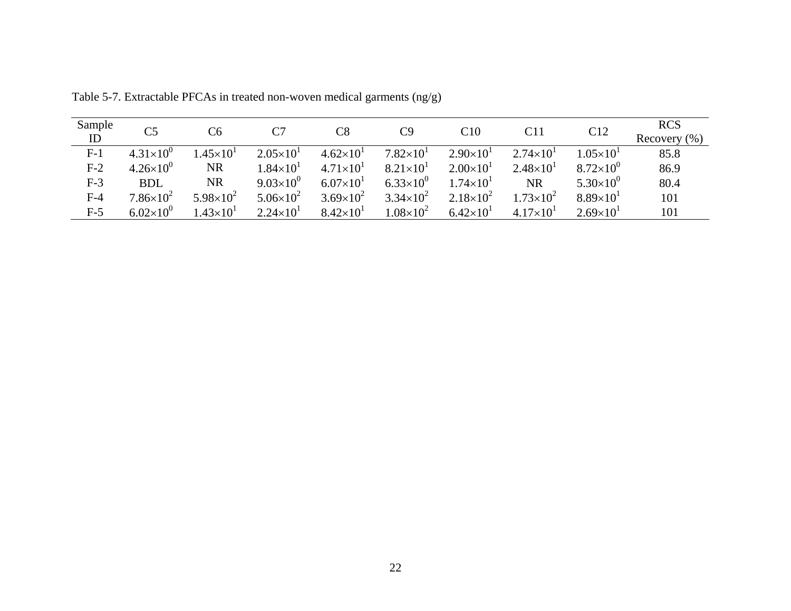| Sample<br>ID | C <sub>5</sub>     | C6                 | C7                   | $\rm{C}8$          | C9                 | C10                | C11                  | C12                | <b>RCS</b><br>Recovery $(\% )$ |
|--------------|--------------------|--------------------|----------------------|--------------------|--------------------|--------------------|----------------------|--------------------|--------------------------------|
| $F-1$        | $4.31\times10^{0}$ | $1.45\times10^{1}$ | $2.05 \times 10^{1}$ | $4.62\times10^{1}$ | $7.82\times10^{1}$ | $2.90\times10^{1}$ | $2.74 \times 10^{1}$ | $1.05\times10^{1}$ | 85.8                           |
| $F-2$        | $4.26\times10^{0}$ | <b>NR</b>          | $1.84\times10^{1}$   | $4.71\times10^{1}$ | $8.21\times10^{1}$ | $2.00\times10^{1}$ | $2.48 \times 10^{1}$ | $8.72\times10^{0}$ | 86.9                           |
| $F-3$        | <b>BDL</b>         | NR                 | $9.03\times10^{0}$   | $6.07\times10^{1}$ | $6.33\times10^{0}$ | $1.74\times10^{1}$ | <b>NR</b>            | $5.30\times10^{0}$ | 80.4                           |
| $F-4$        | $7.86\times10^{2}$ | $5.98\times10^{2}$ | $5.06 \times 10^{2}$ | $3.69\times10^{2}$ | $3.34\times10^{2}$ | $2.18\times10^{2}$ | $1.73\times10^{2}$   | $8.89\times10^{1}$ | 101                            |
| $F-5$        | $6.02\times10^{0}$ | $1.43\times10^{1}$ | $2.24 \times 10^{1}$ | $8.42\times10^{1}$ | $1.08\times10^{2}$ | $6.42\times10^{1}$ | $4.17\times10^{1}$   | $2.69\times10^{1}$ | 101                            |

Table 5-7. Extractable PFCAs in treated non-woven medical garments (ng/g)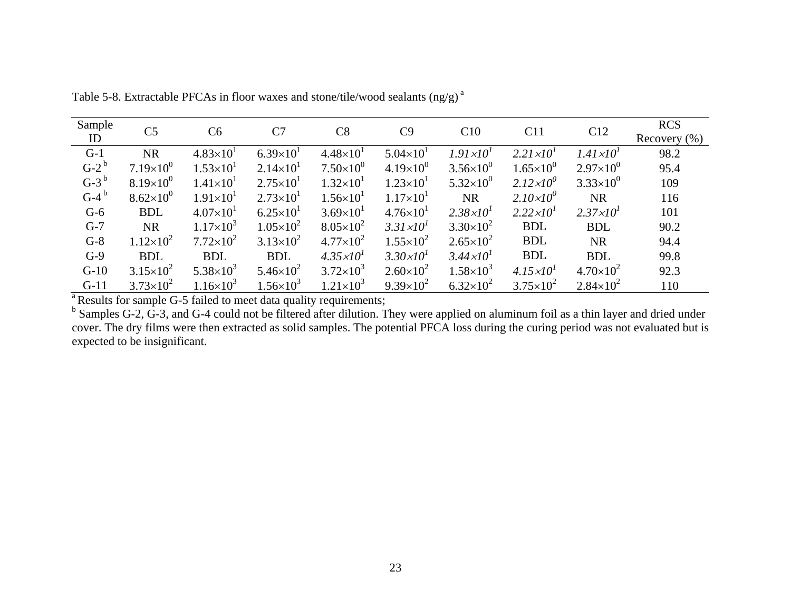| Sample  | C <sub>5</sub>       | C <sub>6</sub>       | C7                   | C8                   | C9                   | C10                  | C11                  | C12                  | <b>RCS</b>       |
|---------|----------------------|----------------------|----------------------|----------------------|----------------------|----------------------|----------------------|----------------------|------------------|
| ID      |                      |                      |                      |                      |                      |                      |                      |                      | Recovery $(\% )$ |
| $G-1$   | <b>NR</b>            | $4.83 \times 10^{1}$ | $6.39\times10^{1}$   | $4.48\times10^{1}$   | $5.04 \times 10^{1}$ | $1.91 \times 10^{1}$ | $2.21 \times 10^{1}$ | $1.41 \times 10^{1}$ | 98.2             |
| $G-2^b$ | $7.19\times10^{0}$   | $1.53\times10^{1}$   | $2.14 \times 10^{1}$ | $7.50\times10^{0}$   | $4.19\times10^{0}$   | $3.56 \times 10^{0}$ | $1.65 \times 10^{0}$ | $2.97\times10^{0}$   | 95.4             |
| $G-3^b$ | $8.19\times10^{0}$   | $1.41 \times 10^{1}$ | $2.75 \times 10^{1}$ | $1.32\times10^{1}$   | $1.23 \times 10^{1}$ | $5.32\times10^{0}$   | $2.12 \times 10^{0}$ | $3.33\times10^{0}$   | 109              |
| $G-4^b$ | $8.62\times10^{0}$   | $1.91 \times 10^{1}$ | $2.73 \times 10^{1}$ | $1.56 \times 10^{1}$ | $1.17\times10^{1}$   | <b>NR</b>            | $2.10\times10^{0}$   | <b>NR</b>            | 116              |
| $G-6$   | <b>BDL</b>           | $4.07\times10^{1}$   | $6.25 \times 10^{1}$ | $3.69 \times 10^{1}$ | $4.76 \times 10^{1}$ | $2.38 \times 10^{1}$ | $2.22 \times 10^{1}$ | $2.37 \times 10^{1}$ | 101              |
| $G-7$   | <b>NR</b>            | $1.17\times10^{3}$   | $1.05\times10^{2}$   | $8.05\times10^{2}$   | $3.31 \times 10^{1}$ | $3.30\times10^{2}$   | <b>BDL</b>           | <b>BDL</b>           | 90.2             |
| $G-8$   | $1.12\times10^{2}$   | $7.72\times10^{2}$   | $3.13\times10^{2}$   | $4.77\times10^{2}$   | $1.55\times10^{2}$   | $2.65 \times 10^{2}$ | <b>BDL</b>           | <b>NR</b>            | 94.4             |
| $G-9$   | <b>BDL</b>           | <b>BDL</b>           | <b>BDL</b>           | $4.35 \times 10^{1}$ | $3.30 \times 10^{1}$ | $3.44 \times 10^{1}$ | <b>BDL</b>           | <b>BDL</b>           | 99.8             |
| $G-10$  | $3.15 \times 10^{2}$ | $5.38\times10^{3}$   | $5.46\times10^{2}$   | $3.72\times10^{3}$   | $2.60\times10^{2}$   | $1.58\times10^{3}$   | $4.15 \times 10^{1}$ | $4.70\times10^{2}$   | 92.3             |
| $G-11$  | $3.73 \times 10^{2}$ | $1.16\times10^{3}$   | $1.56\times10^{3}$   | $1.21\times10^{3}$   | $9.39\times10^{2}$   | $6.32\times10^{2}$   | $3.75 \times 10^{2}$ | $2.84 \times 10^{2}$ | 110              |

Table 5-8. Extractable PFCAs in floor waxes and stone/tile/wood sealants (ng/g)<sup>a</sup>

<sup>a</sup> Results for sample G-5 failed to meet data quality requirements;

<sup>b</sup> Samples G-2, G-3, and G-4 could not be filtered after dilution. They were applied on aluminum foil as a thin layer and dried under cover. The dry films were then extracted as solid samples. The potential PFCA loss during the curing period was not evaluated but is expected to be insignificant.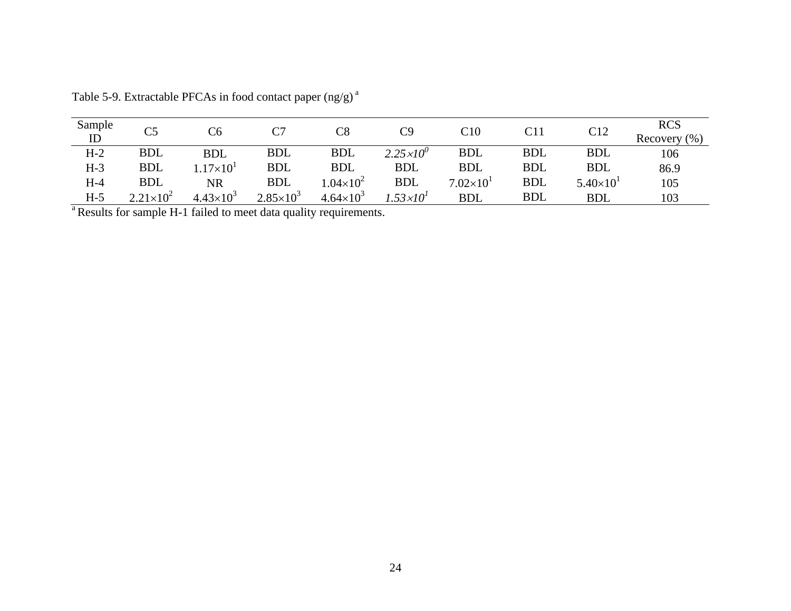| Sample | $\sim$               | C6                           | C7                   | $\mathop{\rm Cg}\nolimits$ | C9                   | $\rm C10$          | C11        | C12                | <b>RCS</b>       |
|--------|----------------------|------------------------------|----------------------|----------------------------|----------------------|--------------------|------------|--------------------|------------------|
| ID     |                      |                              |                      |                            |                      |                    |            |                    | Recovery $(\% )$ |
| $H-2$  | <b>BDL</b>           | <b>BDL</b>                   | <b>BDL</b>           | <b>BDL</b>                 | $2.25 \times 10^{0}$ | <b>BDL</b>         | <b>BDL</b> | <b>BDL</b>         | 106              |
| $H-3$  | <b>BDL</b>           | .17 $\times$ 10 <sup>1</sup> | <b>BDL</b>           | <b>BDL</b>                 | <b>BDL</b>           | <b>BDL</b>         | <b>BDL</b> | <b>BDL</b>         | 86.9             |
| $H-4$  | <b>BDL</b>           | NR                           | <b>BDL</b>           | $1.04\times10^{2}$         | <b>BDL</b>           | $7.02\times10^{1}$ | <b>BDL</b> | $5.40\times10^{1}$ | 105              |
| $H-5$  | $2.21 \times 10^{2}$ | $4.43\times10^{3}$           | $2.85 \times 10^{3}$ | $4.64 \times 10^{3}$       | .53 $\times10^1$     | <b>BDL</b>         | <b>BDL</b> | <b>BDL</b>         | 103              |

Table 5-9. Extractable PFCAs in food contact paper  $(ng/g)^{a}$ 

<sup>a</sup> Results for sample H-1 failed to meet data quality requirements.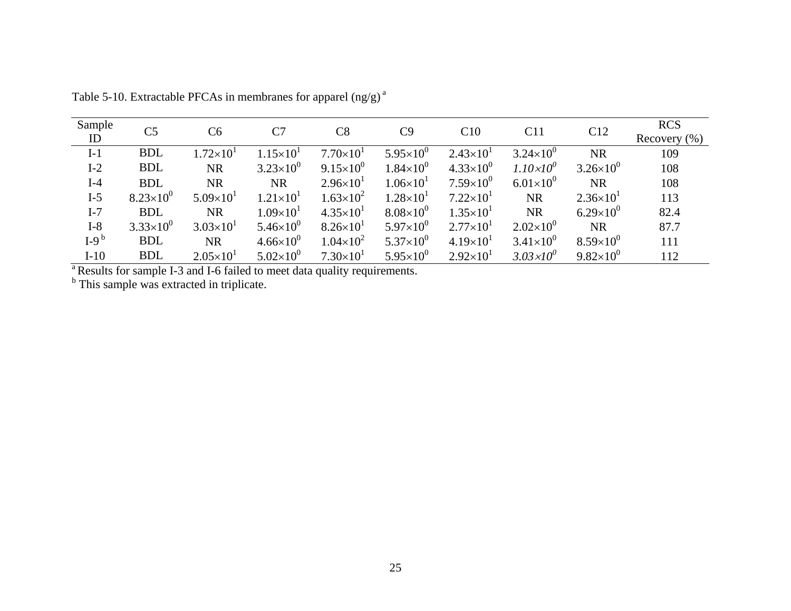| Sample | C <sub>5</sub>     | C6                   | C7                   | C8                   | C9                   | C10                  | C11                  | C12                  | <b>RCS</b>       |
|--------|--------------------|----------------------|----------------------|----------------------|----------------------|----------------------|----------------------|----------------------|------------------|
| ID     |                    |                      |                      |                      |                      |                      |                      |                      | Recovery $(\% )$ |
| $I-1$  | <b>BDL</b>         | $1.72\times10^{1}$   | $1.15\times10^{1}$   | $7.70\times10^{1}$   | $5.95\times10^{0}$   | $2.43\times10^{1}$   | $3.24 \times 10^{0}$ | <b>NR</b>            | 109              |
| $I-2$  | <b>BDL</b>         | <b>NR</b>            | $3.23\times10^{0}$   | $9.15 \times 10^{0}$ | $1.84\times10^{0}$   | $4.33\times10^{0}$   | $1.10\times10^{0}$   | $3.26 \times 10^{0}$ | 108              |
| $I-4$  | <b>BDL</b>         | <b>NR</b>            | <b>NR</b>            | $2.96 \times 10^{1}$ | $1.06\times10^{1}$   | $7.59\times10^{0}$   | $6.01\times10^{0}$   | <b>NR</b>            | 108              |
| $I-5$  | $8.23\times10^{0}$ | $5.09\times10^{1}$   | $1.21 \times 10^{1}$ | $1.63\times10^{2}$   | $1.28 \times 10^{1}$ | $7.22\times101$      | <b>NR</b>            | $2.36 \times 10^{1}$ | 113              |
| $I-7$  | <b>BDL</b>         | <b>NR</b>            | $1.09\times10^{1}$   | $4.35 \times 10^{1}$ | $8.08\times10^{0}$   | $1.35 \times 10^{1}$ | <b>NR</b>            | $6.29\times10^{0}$   | 82.4             |
| $I-8$  | $3.33\times10^{0}$ | $3.03\times10^{1}$   | $5.46\times10^{0}$   | $8.26 \times 10^{1}$ | $5.97\times10^{0}$   | $2.77\times10^{1}$   | $2.02\times10^{0}$   | <b>NR</b>            | 87.7             |
| $I-9b$ | <b>BDL</b>         | <b>NR</b>            | $4.66\times10^{0}$   | $1.04\times10^{2}$   | $5.37\times10^{0}$   | $4.19\times10^{1}$   | $3.41 \times 10^{0}$ | $8.59\times10^{0}$   | 111              |
| $I-10$ | <b>BDL</b>         | $2.05 \times 10^{1}$ | $5.02\times10^{0}$   | $7.30\times10^{1}$   | $5.95\times10^{0}$   | $2.92 \times 10^{1}$ | $3.03 \times 10^{0}$ | $9.82\times10^{0}$   | 112              |

Table 5-10. Extractable PFCAs in membranes for apparel  $(ng/g)^a$ 

<sup>a</sup> Results for sample I-3 and I-6 failed to meet data quality requirements.

<sup>b</sup> This sample was extracted in triplicate.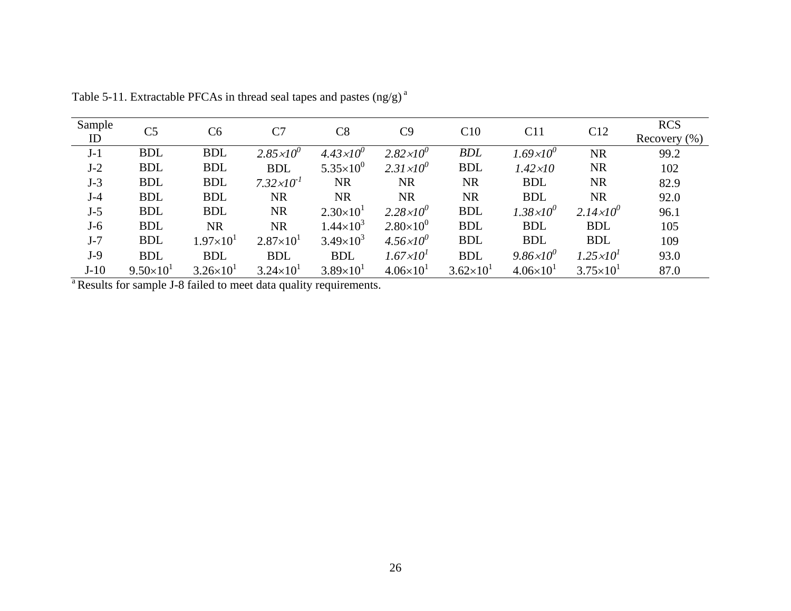| Sample | C <sub>5</sub>     | C <sub>6</sub>       | C7                    | C8                   | C9                   | C10                | C11                  | C12                  | <b>RCS</b>                                                            |
|--------|--------------------|----------------------|-----------------------|----------------------|----------------------|--------------------|----------------------|----------------------|-----------------------------------------------------------------------|
| ID     |                    |                      |                       |                      |                      |                    |                      |                      | Recovery $(\% )$<br>99.2<br>102<br>82.9<br>92.0<br>96.1<br>105<br>109 |
| $J-1$  | <b>BDL</b>         | <b>BDL</b>           | $2.85 \times 10^{0}$  | $4.43 \times 10^{0}$ | $2.82 \times 10^{0}$ | <b>BDL</b>         | $1.69\times10^{0}$   | <b>NR</b>            |                                                                       |
| $J-2$  | <b>BDL</b>         | <b>BDL</b>           | <b>BDL</b>            | $5.35\times10^{0}$   | $2.31\times10^{0}$   | <b>BDL</b>         | $1.42 \times 10$     | <b>NR</b>            |                                                                       |
| $J-3$  | <b>BDL</b>         | <b>BDL</b>           | $7.32 \times 10^{-1}$ | <b>NR</b>            | <b>NR</b>            | <b>NR</b>          | <b>BDL</b>           | <b>NR</b>            |                                                                       |
| $J-4$  | <b>BDL</b>         | <b>BDL</b>           | <b>NR</b>             | <b>NR</b>            | <b>NR</b>            | <b>NR</b>          | <b>BDL</b>           | <b>NR</b>            |                                                                       |
| $J-5$  | <b>BDL</b>         | <b>BDL</b>           | <b>NR</b>             | $2.30\times10^{1}$   | $2.28 \times 10^{0}$ | <b>BDL</b>         | $1.38 \times 10^{0}$ | $2.14 \times 10^{0}$ |                                                                       |
| $J-6$  | <b>BDL</b>         | <b>NR</b>            | <b>NR</b>             | $1.44 \times 10^{3}$ | $2.80\times10^{0}$   | <b>BDL</b>         | <b>BDL</b>           | <b>BDL</b>           |                                                                       |
| $J-7$  | <b>BDL</b>         | $1.97\times10^{1}$   | $2.87\times10^{1}$    | $3.49\times10^{3}$   | $4.56 \times 10^{0}$ | <b>BDL</b>         | <b>BDL</b>           | <b>BDL</b>           |                                                                       |
| $J-9$  | <b>BDL</b>         | <b>BDL</b>           | <b>BDL</b>            | <b>BDL</b>           | $1.67 \times 10^{1}$ | <b>BDL</b>         | $9.86 \times 10^{0}$ | $1.25 \times 10^{1}$ | 93.0                                                                  |
| $J-10$ | $9.50\times10^{1}$ | $3.26 \times 10^{1}$ | $3.24 \times 10^{1}$  | $3.89\times10^{1}$   | $4.06\times10^{1}$   | $3.62\times10^{1}$ | $4.06\times10^{1}$   | $3.75 \times 10^{1}$ | 87.0                                                                  |

Table 5-11. Extractable PFCAs in thread seal tapes and pastes  $(ng/g)^{a}$ 

<sup>a</sup> Results for sample J-8 failed to meet data quality requirements.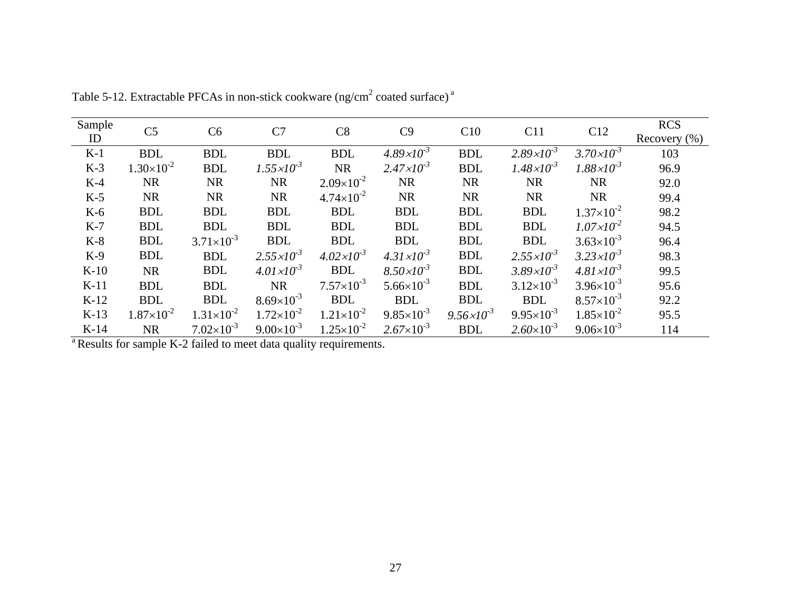| Sample | C <sub>5</sub>      | C <sub>6</sub>        | C7                    | C8                    | C9                    | C10                   | C11                   | C12                   | <b>RCS</b>       |
|--------|---------------------|-----------------------|-----------------------|-----------------------|-----------------------|-----------------------|-----------------------|-----------------------|------------------|
| ID     |                     |                       |                       |                       |                       |                       |                       |                       | Recovery $(\% )$ |
| $K-1$  | <b>BDL</b>          | <b>BDL</b>            | <b>BDL</b>            | <b>BDL</b>            | $4.89 \times 10^{-3}$ | <b>BDL</b>            | $2.89 \times 10^{-3}$ | $3.70 \times 10^{-3}$ | 103              |
| $K-3$  | $1.30\times10^{-2}$ | <b>BDL</b>            | $1.55 \times 10^{-3}$ | <b>NR</b>             | $2.47 \times 10^{-3}$ | <b>BDL</b>            | $1.48 \times 10^{-3}$ | $1.88 \times 10^{-3}$ | 96.9             |
| $K-4$  | <b>NR</b>           | <b>NR</b>             | <b>NR</b>             | $2.09\times10^{-2}$   | <b>NR</b>             | <b>NR</b>             | <b>NR</b>             | <b>NR</b>             | 92.0             |
| $K-5$  | <b>NR</b>           | <b>NR</b>             | <b>NR</b>             | $4.74 \times 10^{-2}$ | <b>NR</b>             | <b>NR</b>             | <b>NR</b>             | <b>NR</b>             | 99.4             |
| $K-6$  | <b>BDL</b>          | <b>BDL</b>            | <b>BDL</b>            | <b>BDL</b>            | <b>BDL</b>            | <b>BDL</b>            | <b>BDL</b>            | $1.37\times10^{-2}$   | 98.2             |
| $K-7$  | <b>BDL</b>          | <b>BDL</b>            | <b>BDL</b>            | <b>BDL</b>            | <b>BDL</b>            | <b>BDL</b>            | <b>BDL</b>            | $1.07 \times 10^{-2}$ | 94.5             |
| $K-8$  | <b>BDL</b>          | $3.71 \times 10^{-3}$ | <b>BDL</b>            | <b>BDL</b>            | <b>BDL</b>            | <b>BDL</b>            | <b>BDL</b>            | $3.63\times10^{-3}$   | 96.4             |
| $K-9$  | <b>BDL</b>          | <b>BDL</b>            | $2.55 \times 10^{-3}$ | $4.02 \times 10^{-3}$ | $4.31 \times 10^{-3}$ | <b>BDL</b>            | $2.55 \times 10^{-3}$ | $3.23 \times 10^{-3}$ | 98.3             |
| $K-10$ | <b>NR</b>           | <b>BDL</b>            | $4.01 \times 10^{-3}$ | <b>BDL</b>            | $8.50 \times 10^{-3}$ | <b>BDL</b>            | $3.89 \times 10^{-3}$ | $4.81 \times 10^{-3}$ | 99.5             |
| $K-11$ | <b>BDL</b>          | <b>BDL</b>            | <b>NR</b>             | $7.57\times10^{-3}$   | $5.66 \times 10^{-3}$ | <b>BDL</b>            | $3.12\times10^{-3}$   | $3.96 \times 10^{-3}$ | 95.6             |
| $K-12$ | <b>BDL</b>          | <b>BDL</b>            | $8.69\times10^{-3}$   | <b>BDL</b>            | <b>BDL</b>            | <b>BDL</b>            | <b>BDL</b>            | $8.57\times10^{-3}$   | 92.2             |
| $K-13$ | $1.87\times10^{-2}$ | $1.31 \times 10^{-2}$ | $1.72 \times 10^{-2}$ | $1.21 \times 10^{-2}$ | $9.85 \times 10^{-3}$ | $9.56 \times 10^{-3}$ | $9.95 \times 10^{-3}$ | $1.85 \times 10^{-2}$ | 95.5             |
| $K-14$ | <b>NR</b>           | $7.02\times10^{-3}$   | $9.00\times10^{-3}$   | $1.25 \times 10^{-2}$ | $2.67 \times 10^{-3}$ | <b>BDL</b>            | $2.60\times10^{-3}$   | $9.06 \times 10^{-3}$ | 114              |

Table 5-12. Extractable PFCAs in non-stick cookware (ng/cm<sup>2</sup> coated surface)<sup>a</sup>

<sup>a</sup> Results for sample K-2 failed to meet data quality requirements.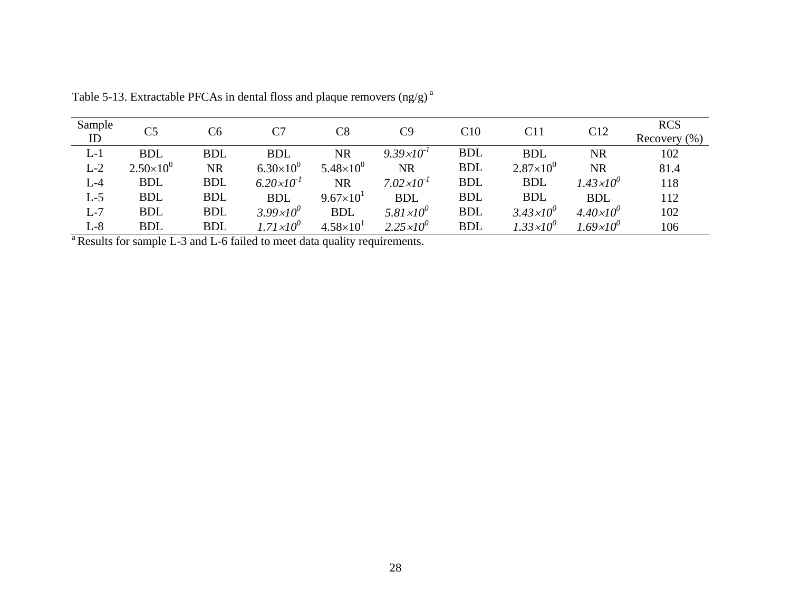| Sample | C <sub>5</sub>     | C <sub>6</sub> | C7                    | $\rm{C}8$          | C9                    | C10        | C11                  | C12                       | <b>RCS</b>       |
|--------|--------------------|----------------|-----------------------|--------------------|-----------------------|------------|----------------------|---------------------------|------------------|
| ID     |                    |                |                       |                    |                       |            |                      |                           | Recovery $(\% )$ |
| $L-1$  | <b>BDL</b>         | <b>BDL</b>     | <b>BDL</b>            | <b>NR</b>          | $9.39 \times 10^{-1}$ | <b>BDL</b> | <b>BDL</b>           | <b>NR</b>                 | 102              |
| $L-2$  | $2.50\times10^{0}$ | <b>NR</b>      | $6.30\times10^{0}$    | $5.48\times10^{0}$ | <b>NR</b>             | <b>BDL</b> | $2.87\times10^{0}$   | <b>NR</b>                 | 81.4             |
| $L-4$  | <b>BDL</b>         | <b>BDL</b>     | $6.20 \times 10^{-1}$ | <b>NR</b>          | $7.02 \times 10^{-1}$ | <b>BDL</b> | <b>BDL</b>           | $1.43{\times}10^{0}$      | 118              |
| $L-5$  | <b>BDL</b>         | <b>BDL</b>     | <b>BDL</b>            | $9.67\times10^{1}$ | <b>BDL</b>            | <b>BDL</b> | <b>BDL</b>           | <b>BDL</b>                | 112              |
| $L-7$  | <b>BDL</b>         | <b>BDL</b>     | $3.99 \times 10^{0}$  | <b>BDL</b>         | $5.81 \times 10^{0}$  | <b>BDL</b> | $3.43 \times 10^{0}$ | $4.40\times10^{0}$        | 102              |
| $L-8$  | <b>BDL</b>         | <b>BDL</b>     | $1.71 \times 10^{0}$  | $4.58\times10^{1}$ | $2.25 \times 10^{0}$  | <b>BDL</b> | $1.33\times10^{0}$   | 1.69×10 $^{\prime\prime}$ | 106              |

Table 5-13. Extractable PFCAs in dental floss and plaque removers  $(ng/g)^{a}$ 

<sup>a</sup> Results for sample L-3 and L-6 failed to meet data quality requirements.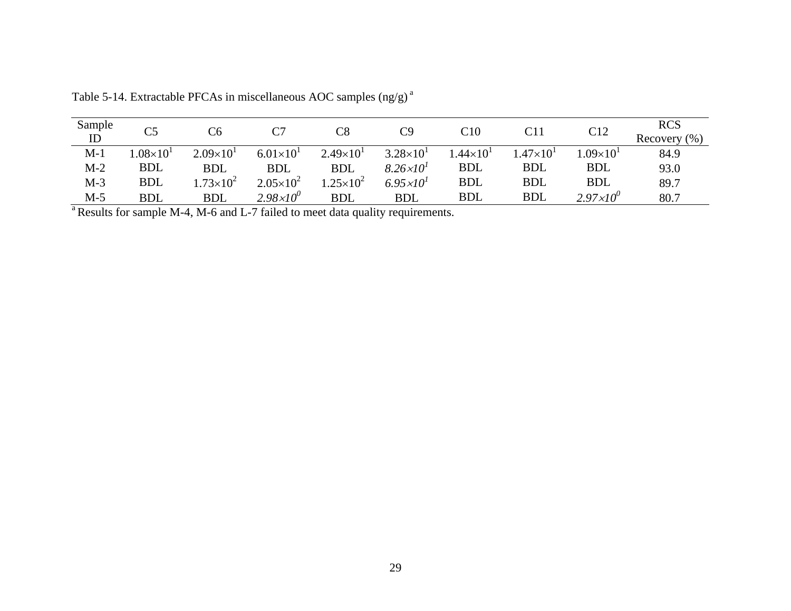| Sample | C <sub>5</sub>    |                    |                      | $\mathop{\rm Cg}\nolimits$ | C9                   | C10                | C11                | C12                  | <b>RCS</b>       |
|--------|-------------------|--------------------|----------------------|----------------------------|----------------------|--------------------|--------------------|----------------------|------------------|
| ID     |                   |                    |                      |                            |                      |                    |                    |                      | (% )<br>Recovery |
| $M-1$  | $.08\times10^{1}$ | $2.09\times10^{1}$ | $6.01\times10^{1}$   | $2.49\times10^{1}$         | $3.28 \times 10^{1}$ | $1.44\times10^{1}$ | $1.47\times10^{1}$ | $1.09\times10^{1}$   | 84.9             |
| $M-2$  | <b>BDL</b>        | <b>BDL</b>         | <b>BDL</b>           | <b>BDL</b>                 | $8.26 \times 10^{1}$ | <b>BDL</b>         | <b>BDL</b>         | <b>BDL</b>           | 93.0             |
| $M-3$  | <b>BDL</b>        | $.73\times10^{2}$  | $2.05 \times 10^{2}$ | $.25 \times 10^{2}$        | $6.95 \times 10^{1}$ | <b>BDL</b>         | <b>BDL</b>         | <b>BDL</b>           | 89.7             |
| $M-5$  | <b>BDL</b>        | <b>BDL</b>         | $2.98 \times 10^{0}$ | <b>BDL</b>                 | <b>BDL</b>           | <b>BDL</b>         | <b>BDL</b>         | $2.97 \times 10^{0}$ | 80.7             |

Table 5-14. Extractable PFCAs in miscellaneous AOC samples (ng/g) a

<sup>a</sup> Results for sample M-4, M-6 and L-7 failed to meet data quality requirements.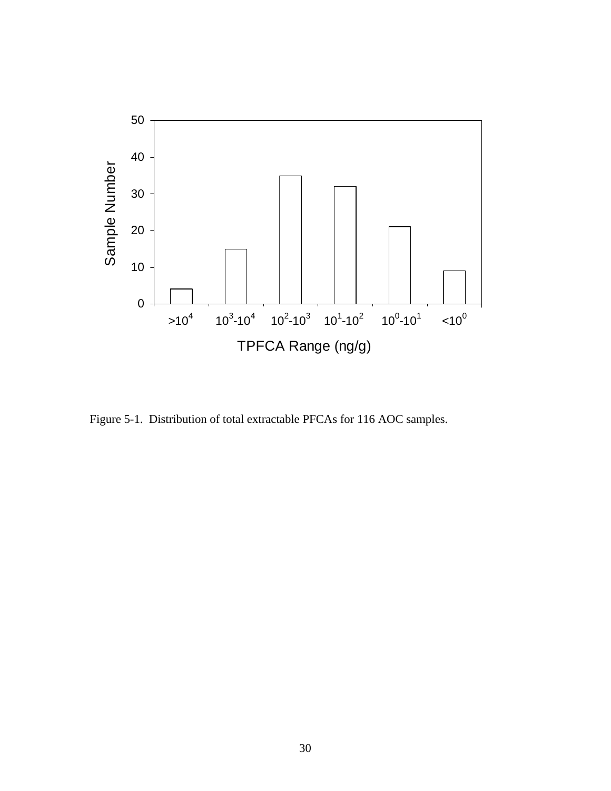

Figure 5-1. Distribution of total extractable PFCAs for 116 AOC samples.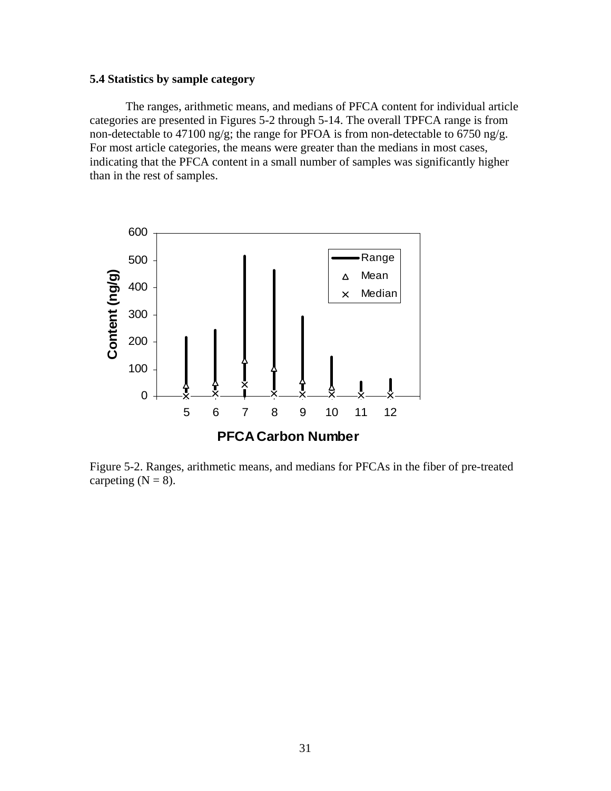## <span id="page-30-0"></span>**5.4 Statistics by sample category**

The ranges, arithmetic means, and medians of PFCA content for individual article categories are presented in Figures 5-2 through 5-14. The overall TPFCA range is from non-detectable to 47100 ng/g; the range for PFOA is from non-detectable to 6750 ng/g. For most article categories, the means were greater than the medians in most cases, indicating that the PFCA content in a small number of samples was significantly higher than in the rest of samples.



Figure 5-2. Ranges, arithmetic means, and medians for PFCAs in the fiber of pre-treated carpeting  $(N = 8)$ .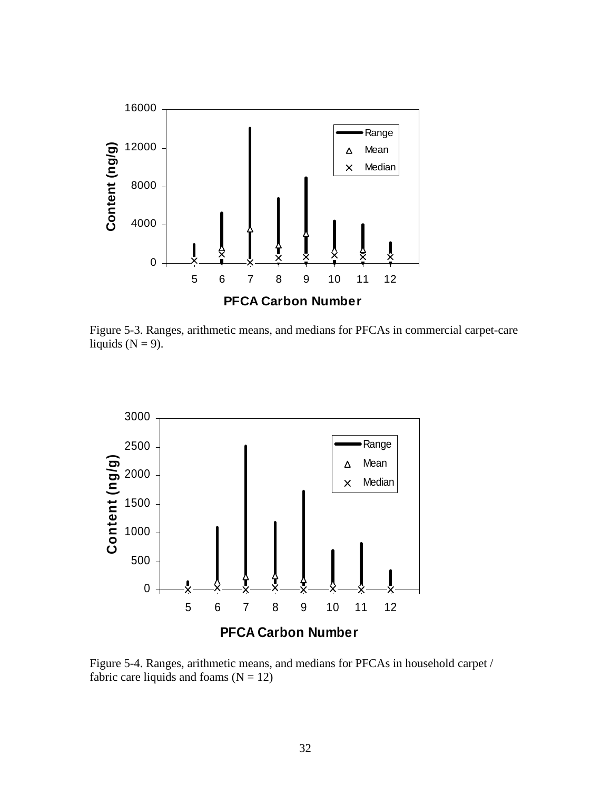

Figure 5-3. Ranges, arithmetic means, and medians for PFCAs in commercial carpet-care liquids ( $N = 9$ ).



Figure 5-4. Ranges, arithmetic means, and medians for PFCAs in household carpet / fabric care liquids and foams  $(N = 12)$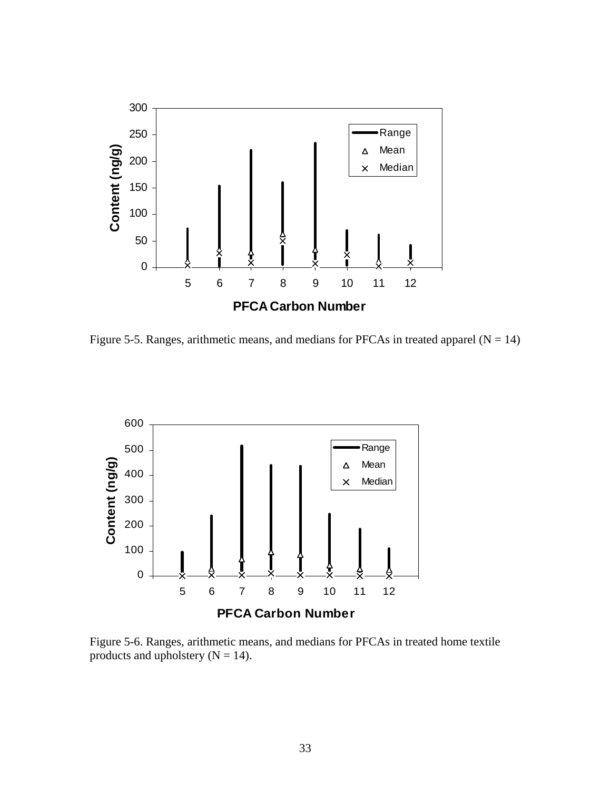

Figure 5-5. Ranges, arithmetic means, and medians for PFCAs in treated apparel  $(N = 14)$ 



Figure 5-6. Ranges, arithmetic means, and medians for PFCAs in treated home textile products and upholstery  $(N = 14)$ .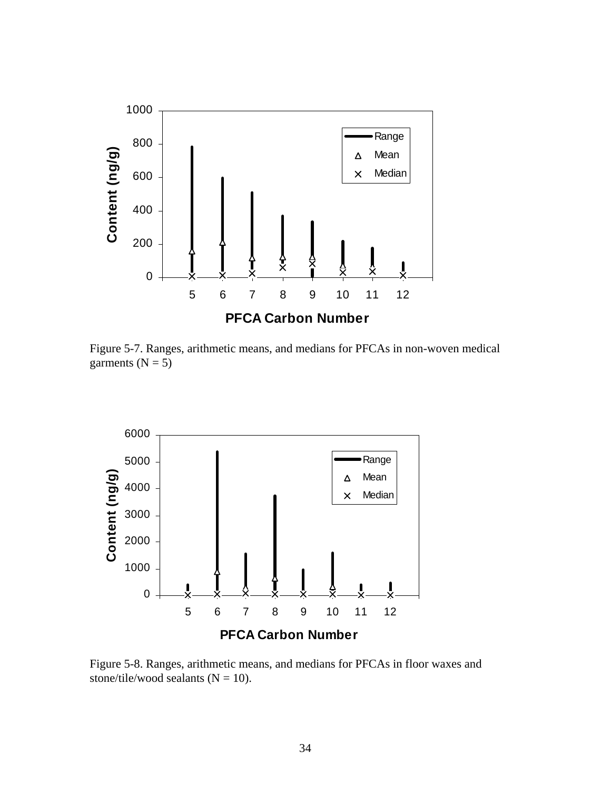

Figure 5-7. Ranges, arithmetic means, and medians for PFCAs in non-woven medical garments ( $N = 5$ )



Figure 5-8. Ranges, arithmetic means, and medians for PFCAs in floor waxes and stone/tile/wood sealants  $(N = 10)$ .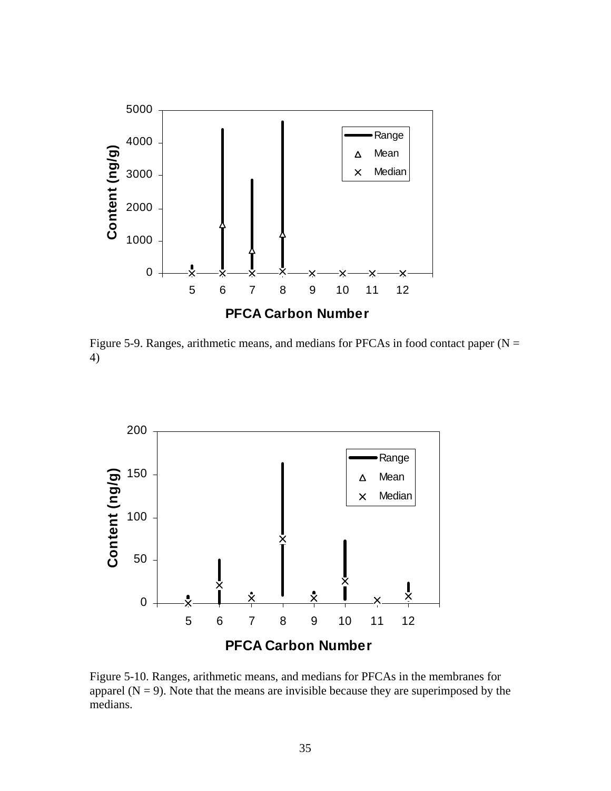

Figure 5-9. Ranges, arithmetic means, and medians for PFCAs in food contact paper ( $N =$ 4)



Figure 5-10. Ranges, arithmetic means, and medians for PFCAs in the membranes for apparel  $(N = 9)$ . Note that the means are invisible because they are superimposed by the medians.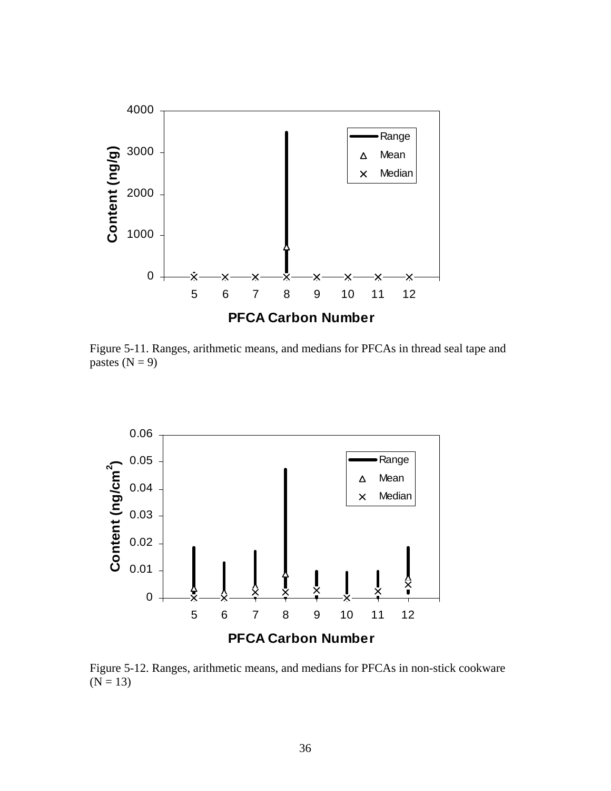

Figure 5-11. Ranges, arithmetic means, and medians for PFCAs in thread seal tape and pastes  $(N = 9)$ 



Figure 5-12. Ranges, arithmetic means, and medians for PFCAs in non-stick cookware  $(N = 13)$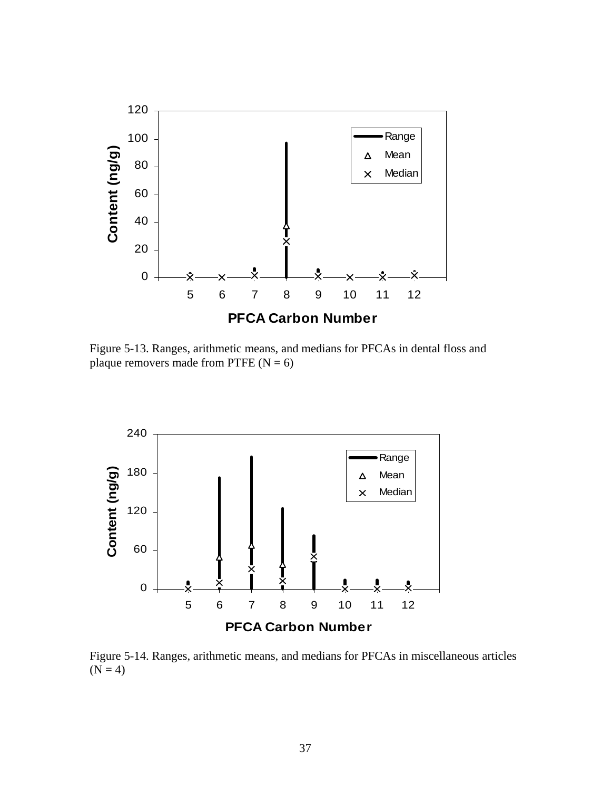

Figure 5-13. Ranges, arithmetic means, and medians for PFCAs in dental floss and plaque removers made from PTFE  $(N = 6)$ 



Figure 5-14. Ranges, arithmetic means, and medians for PFCAs in miscellaneous articles  $(N = 4)$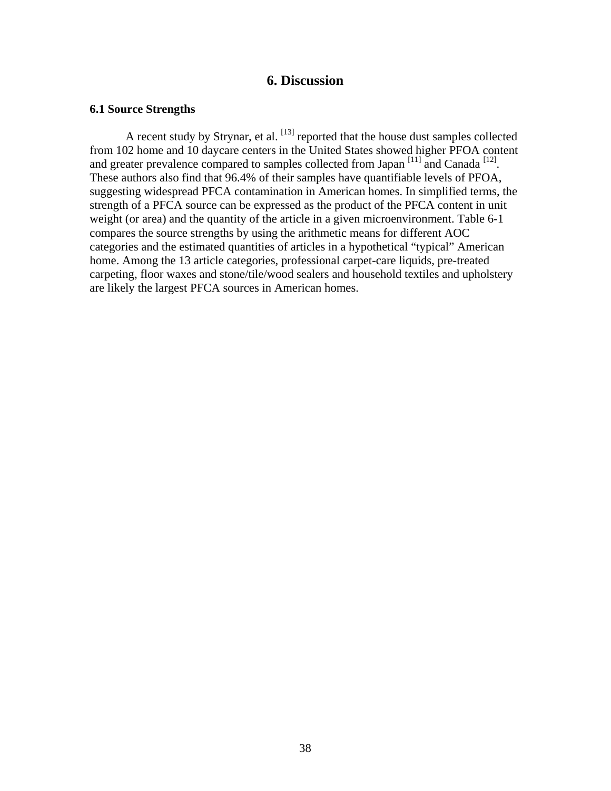## **6. Discussion**

#### <span id="page-37-0"></span>**6.1 Source Strengths**

A recent study by Strynar, et al. <sup>[13]</sup> reported that the house dust samples collected from 102 home and 10 daycare centers in the United States showed higher PFOA content and greater prevalence compared to samples collected from Japan  $[11]$  and Canada  $[12]$ . These authors also find that 96.4% of their samples have quantifiable levels of PFOA, suggesting widespread PFCA contamination in American homes. In simplified terms, the strength of a PFCA source can be expressed as the product of the PFCA content in unit weight (or area) and the quantity of the article in a given microenvironment. Table 6-1 compares the source strengths by using the arithmetic means for different AOC categories and the estimated quantities of articles in a hypothetical "typical" American home. Among the 13 article categories, professional carpet-care liquids, pre-treated carpeting, floor waxes and stone/tile/wood sealers and household textiles and upholstery are likely the largest PFCA sources in American homes.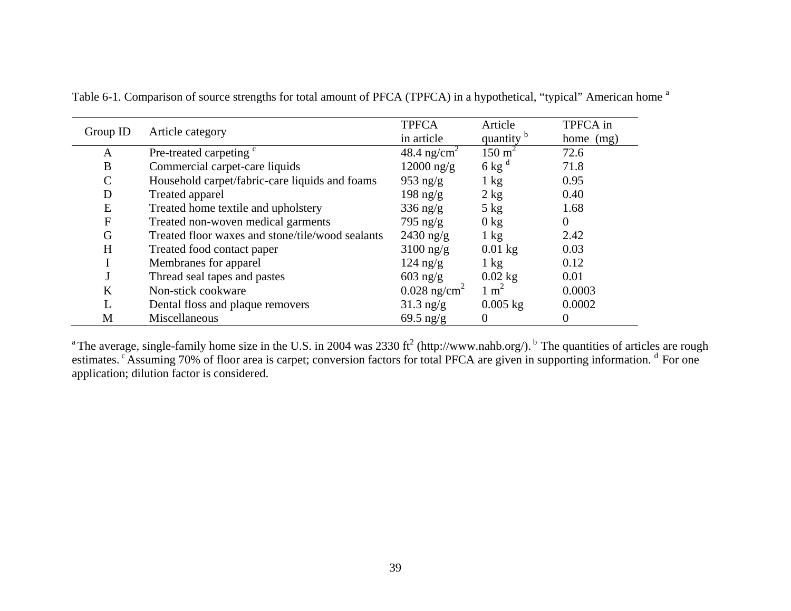|              |                                                  | <b>TPFCA</b>               | Article               | TPFCA in  |
|--------------|--------------------------------------------------|----------------------------|-----------------------|-----------|
| Group ID     | Article category                                 | in article                 | quantity <sup>b</sup> | home (mg) |
| A            | Pre-treated carpeting <sup>c</sup>               | 48.4 ng/cm <sup>2</sup>    | $150 \text{ m}^2$     | 72.6      |
| B            | Commercial carpet-care liquids                   | $12000$ ng/g               | $6$ kg <sup>d</sup>   | 71.8      |
| $\mathsf{C}$ | Household carpet/fabric-care liquids and foams   | $953$ ng/g                 | $1 \text{ kg}$        | 0.95      |
| D            | Treated apparel                                  | 198 ng/g                   | $2 \text{ kg}$        | 0.40      |
| E            | Treated home textile and upholstery              | $336$ ng/g                 | $5$ kg                | 1.68      |
| $\mathbf{F}$ | Treated non-woven medical garments               | $795 \text{ ng/g}$         | $0 \text{ kg}$        | $\theta$  |
| G            | Treated floor waxes and stone/tile/wood sealants | $2430$ ng/g                | $1 \text{ kg}$        | 2.42      |
| H            | Treated food contact paper                       | $3100$ ng/g                | $0.01$ kg             | 0.03      |
|              | Membranes for apparel                            | $124$ ng/g                 | $1 \text{ kg}$        | 0.12      |
|              | Thread seal tapes and pastes                     | $603$ ng/g                 | $0.02$ kg             | 0.01      |
| K            | Non-stick cookware                               | $0.028$ ng/cm <sup>2</sup> | $1 \text{ m}^2$       | 0.0003    |
| L            | Dental floss and plaque removers                 | $31.3$ ng/g                | $0.005$ kg            | 0.0002    |
| M            | Miscellaneous                                    | 69.5 $\text{ng/g}$         | $\Omega$              | 0         |

Table 6-1. Comparison of source strengths for total amount of PFCA (TPFCA) in a hypothetical, "typical" American home <sup>a</sup>

<sup>a</sup> The average, single-family home size in the U.S. in 2004 was 2330 ft<sup>2</sup> (http://www.nahb.org/). <sup>b</sup> The quantities of articles are rough estimates. <sup>c</sup> Assuming 70% of floor area is carpet; conversion factors for total PFCA are given in supporting information. <sup>d</sup> For one application; dilution factor is considered.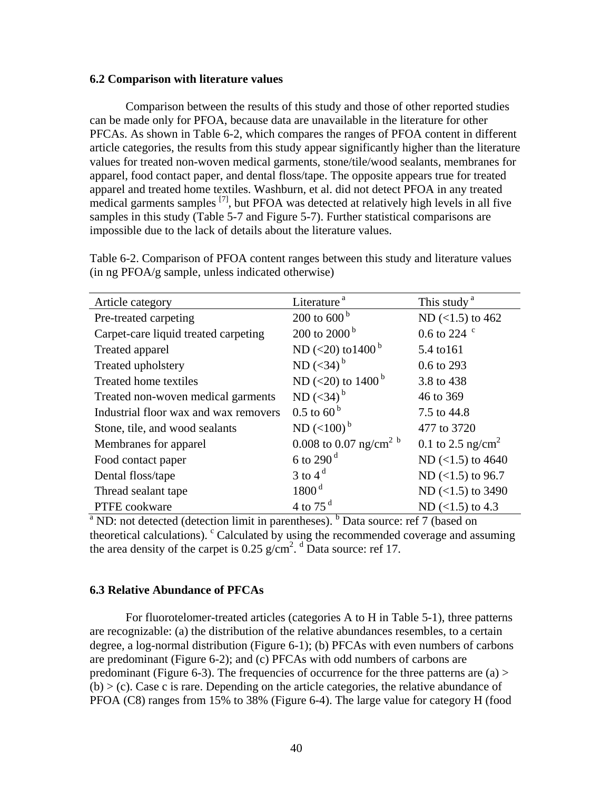#### <span id="page-39-0"></span>**6.2 Comparison with literature values**

Comparison between the results of this study and those of other reported studies can be made only for PFOA, because data are unavailable in the literature for other PFCAs. As shown in Table 6-2, which compares the ranges of PFOA content in different article categories, the results from this study appear significantly higher than the literature values for treated non-woven medical garments, stone/tile/wood sealants, membranes for apparel, food contact paper, and dental floss/tape. The opposite appears true for treated apparel and treated home textiles. Washburn, et al. did not detect PFOA in any treated medical garments samples <sup>[7]</sup>, but PFOA was detected at relatively high levels in all five samples in this study (Table 5-7 and Figure 5-7). Further statistical comparisons are impossible due to the lack of details about the literature values.

Table 6-2. Comparison of PFOA content ranges between this study and literature values (in ng PFOA/g sample, unless indicated otherwise)

| Article category                                                                                          | Literature <sup>a</sup>            | This study <sup>a</sup>       |
|-----------------------------------------------------------------------------------------------------------|------------------------------------|-------------------------------|
| Pre-treated carpeting                                                                                     | 200 to $600^{\mathrm{b}}$          | ND $(<1.5)$ to 462            |
| Carpet-care liquid treated carpeting                                                                      | 200 to 2000 $^{\rm b}$             | 0.6 to 224 $\degree$          |
| Treated apparel                                                                                           | ND (<20) to 1400 <sup>b</sup>      | 5.4 to 161                    |
| Treated upholstery                                                                                        | ND $(<34)$ <sup>b</sup>            | 0.6 to 293                    |
| Treated home textiles                                                                                     | ND (<20) to 1400 <sup>b</sup>      | 3.8 to 438                    |
| Treated non-woven medical garments                                                                        | ND $(<34)$ <sup>b</sup>            | 46 to 369                     |
| Industrial floor wax and wax removers                                                                     | $0.5$ to 60 <sup>b</sup>           | 7.5 to 44.8                   |
| Stone, tile, and wood sealants                                                                            | $ND$ (<100) <sup>b</sup>           | 477 to 3720                   |
| Membranes for apparel                                                                                     | 0.008 to 0.07 ng/cm <sup>2 b</sup> | 0.1 to 2.5 ng/cm <sup>2</sup> |
| Food contact paper                                                                                        | 6 to 290 $^{\rm d}$                | ND $(<1.5)$ to 4640           |
| Dental floss/tape                                                                                         | 3 to 4 $d$                         | ND $(<1.5)$ to 96.7           |
| Thread sealant tape                                                                                       | 1800 <sup>d</sup>                  | ND $(<1.5)$ to 3490           |
| PTFE cookware                                                                                             | 4 to 75 $^{\rm d}$                 | ND $(<1.5)$ to 4.3            |
| <sup>a</sup> ND: not detected (detection limit in parentheses). <sup>b</sup> Data source: ref 7 (based on |                                    |                               |

theoretical calculations).  $\textdegree$  Calculated by using the recommended coverage and assuming the area density of the carpet is  $0.25 \text{ g/cm}^2$ . <sup>d</sup> Data source: ref 17.

#### **6.3 Relative Abundance of PFCAs**

For fluorotelomer-treated articles (categories A to H in Table 5-1), three patterns are recognizable: (a) the distribution of the relative abundances resembles, to a certain degree, a log-normal distribution (Figure 6-1); (b) PFCAs with even numbers of carbons are predominant (Figure 6-2); and (c) PFCAs with odd numbers of carbons are predominant (Figure 6-3). The frequencies of occurrence for the three patterns are  $(a)$  >  $(b)$  > (c). Case c is rare. Depending on the article categories, the relative abundance of PFOA (C8) ranges from 15% to 38% (Figure 6-4). The large value for category H (food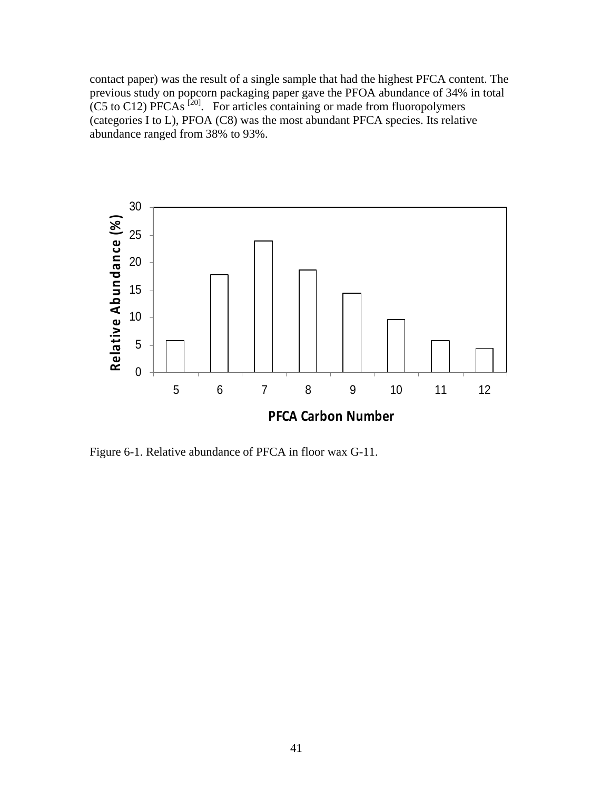contact paper) was the result of a single sample that had the highest PFCA content. The previous study on popcorn packaging paper gave the PFOA abundance of 34% in total (C5 to C12) PFCAs  $^{[20]}$ . For articles containing or made from fluoropolymers  $\overline{C}$  (categories I to L), PFOA  $(C8)$  was the most abundant PFCA species. Its relative abundance ranged from 38% to 93%.



Figure 6-1. Relative abundance of PFCA in floor wax G-11.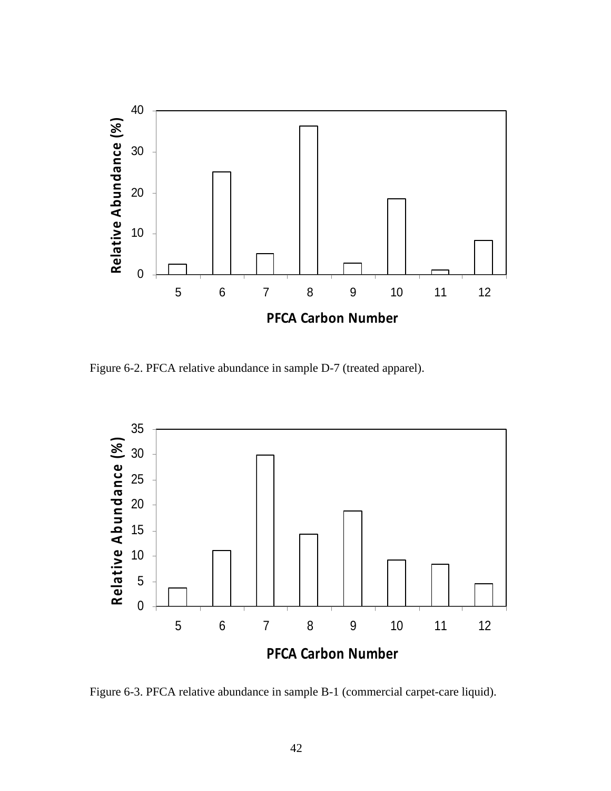

Figure 6-2. PFCA relative abundance in sample D-7 (treated apparel).



Figure 6-3. PFCA relative abundance in sample B-1 (commercial carpet-care liquid).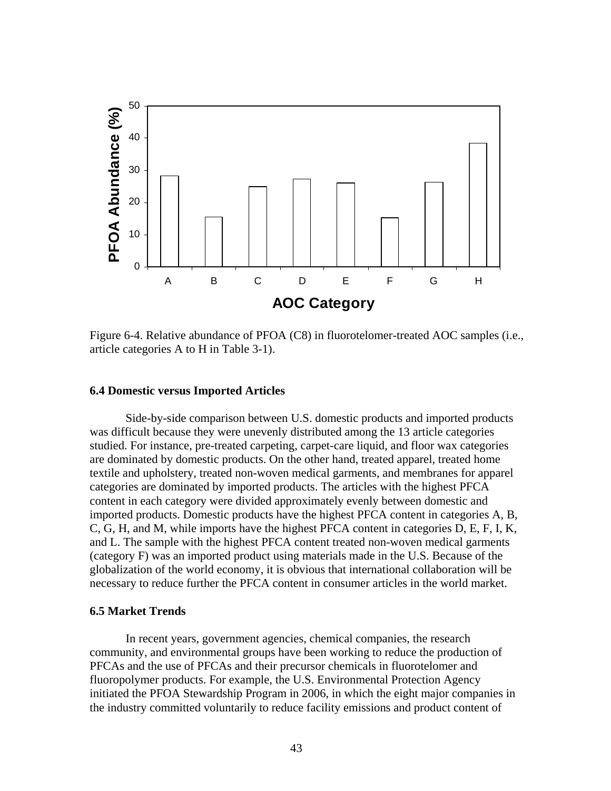<span id="page-42-0"></span>

Figure 6-4. Relative abundance of PFOA (C8) in fluorotelomer-treated AOC samples (i.e., article categories A to H in Table 3-1).

#### **6.4 Domestic versus Imported Articles**

Side-by-side comparison between U.S. domestic products and imported products was difficult because they were unevenly distributed among the 13 article categories studied. For instance, pre-treated carpeting, carpet-care liquid, and floor wax categories are dominated by domestic products. On the other hand, treated apparel, treated home textile and upholstery, treated non-woven medical garments, and membranes for apparel categories are dominated by imported products. The articles with the highest PFCA content in each category were divided approximately evenly between domestic and imported products. Domestic products have the highest PFCA content in categories A, B, C, G, H, and M, while imports have the highest PFCA content in categories D, E, F, I, K, and L. The sample with the highest PFCA content treated non-woven medical garments (category F) was an imported product using materials made in the U.S. Because of the globalization of the world economy, it is obvious that international collaboration will be necessary to reduce further the PFCA content in consumer articles in the world market.

## **6.5 Market Trends**

In recent years, government agencies, chemical companies, the research community, and environmental groups have been working to reduce the production of PFCAs and the use of PFCAs and their precursor chemicals in fluorotelomer and fluoropolymer products. For example, the U.S. Environmental Protection Agency initiated the PFOA Stewardship Program in 2006, in which the eight major companies in the industry committed voluntarily to reduce facility emissions and product content of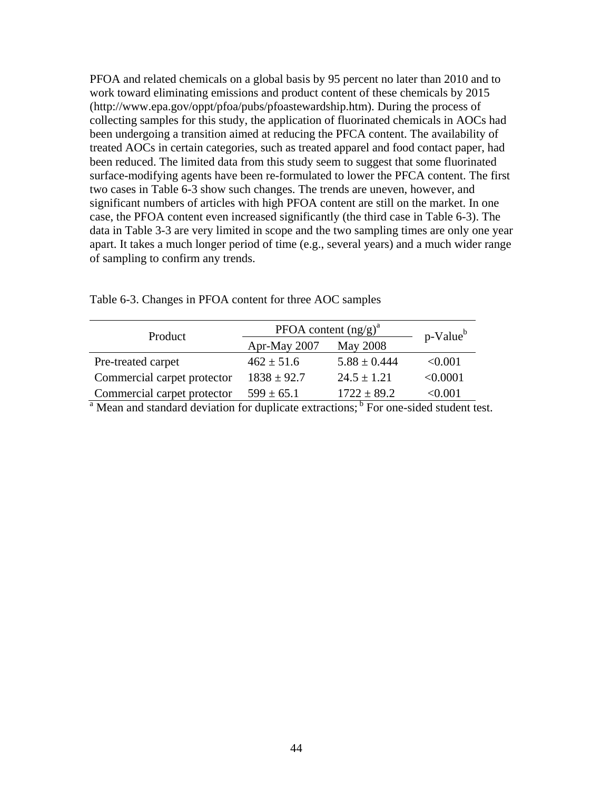PFOA and related chemicals on a global basis by 95 percent no later than 2010 and to work toward eliminating emissions and product content of these chemicals by 2015 (<http://www.epa.gov/oppt/pfoa/pubs/pfoastewardship.htm>). During the process of collecting samples for this study, the application of fluorinated chemicals in AOCs had been undergoing a transition aimed at reducing the PFCA content. The availability of treated AOCs in certain categories, such as treated apparel and food contact paper, had been reduced. The limited data from this study seem to suggest that some fluorinated surface-modifying agents have been re-formulated to lower the PFCA content. The first two cases in Table 6-3 show such changes. The trends are uneven, however, and significant numbers of articles with high PFOA content are still on the market. In one case, the PFOA content even increased significantly (the third case in Table 6-3). The data in Table 3-3 are very limited in scope and the two sampling times are only one year apart. It takes a much longer period of time (e.g., several years) and a much wider range of sampling to confirm any trends.

| Product                     | PFOA content $(ng/g)^a$ | p-Value <sup>b</sup> |          |
|-----------------------------|-------------------------|----------------------|----------|
|                             | Apr-May 2007            | May 2008             |          |
| Pre-treated carpet          | $462 \pm 51.6$          | $5.88 \pm 0.444$     | < 0.001  |
| Commercial carpet protector | $1838 \pm 92.7$         | $24.5 \pm 1.21$      | < 0.0001 |
| Commercial carpet protector | $599 \pm 65.1$          | $1722 \pm 89.2$      | <0.001   |

Table 6-3. Changes in PFOA content for three AOC samples

<sup>a</sup> Mean and standard deviation for duplicate extractions;<sup>b</sup> For one-sided student test.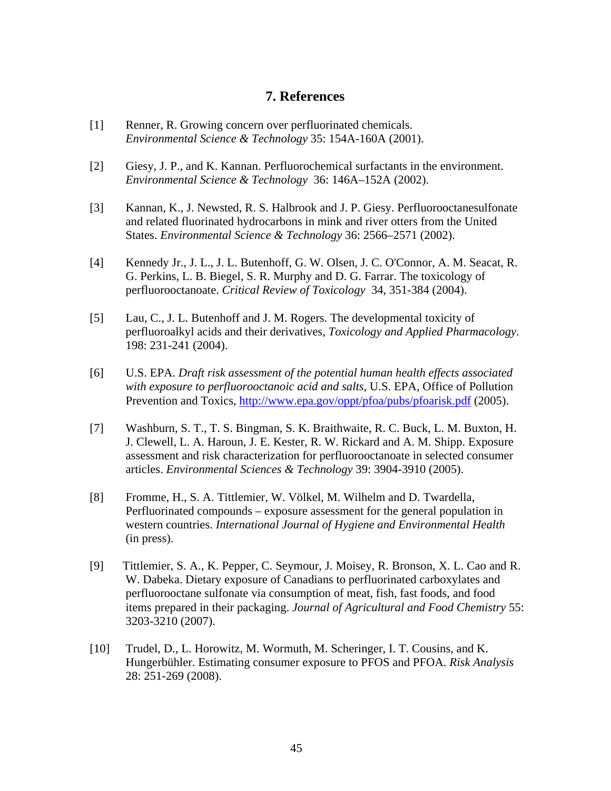## **7. References**

- <span id="page-44-0"></span>[1] Renner, R. Growing concern over perfluorinated chemicals. *Environmental Science & Technology* 35: 154A-160A (2001).
- [2] Giesy, J. P., and K. Kannan. Perfluorochemical surfactants in the environment. *Environmental Science & Technology* 36: 146A–152A (2002).
- [3] Kannan, K., J. Newsted, R. S. Halbrook and J. P. Giesy. Perfluorooctanesulfonate and related fluorinated hydrocarbons in mink and river otters from the United States. *Environmental Science & Technology* 36: 2566–2571 (2002).
- [4] Kennedy Jr., J. L., J. L. Butenhoff, G. W. Olsen, J. C. O'Connor, A. M. Seacat, R. G. Perkins, L. B. Biegel, S. R. Murphy and D. G. Farrar. The toxicology of perfluorooctanoate. *Critical Review of Toxicology* 34, 351-384 (2004).
- [5] Lau, C., J. L. Butenhoff and J. M. Rogers. The developmental toxicity of perfluoroalkyl acids and their derivatives, *Toxicology and Applied Pharmacology*. 198: 231-241 (2004).
- [6] U.S. EPA. *Draft risk assessment of the potential human health effects associated with exposure to perfluorooctanoic acid and salts*, U.S. EPA, Office of Pollution Prevention and Toxics,<http://www.epa.gov/oppt/pfoa/pubs/pfoarisk.pdf> (2005).
- [7] Washburn, S. T., T. S. Bingman, S. K. Braithwaite, R. C. Buck, L. M. Buxton, H. J. Clewell, L. A. Haroun, J. E. Kester, R. W. Rickard and A. M. Shipp. Exposure assessment and risk characterization for perfluorooctanoate in selected consumer articles. *Environmental Sciences & Technology* 39: 3904-3910 (2005).
- [8] Fromme, H., S. A. Tittlemier, W. Völkel, M. Wilhelm and D. Twardella, Perfluorinated compounds – exposure assessment for the general population in western countries. *International Journal of Hygiene and Environmental Health*  (in press).
- [9] Tittlemier, S. A., K. Pepper, C. Seymour, J. Moisey, R. Bronson, X. L. Cao and R. W. Dabeka. Dietary exposure of Canadians to perfluorinated carboxylates and perfluorooctane sulfonate via consumption of meat, fish, fast foods, and food items prepared in their packaging. *Journal of Agricultural and Food Chemistry* 55: 3203-3210 (2007).
- [10] Trudel, D., L. Horowitz, M. Wormuth, M. Scheringer, I. T. Cousins, and K. Hungerbühler. Estimating consumer exposure to PFOS and PFOA. *Risk Analysis*  28: 251-269 (2008).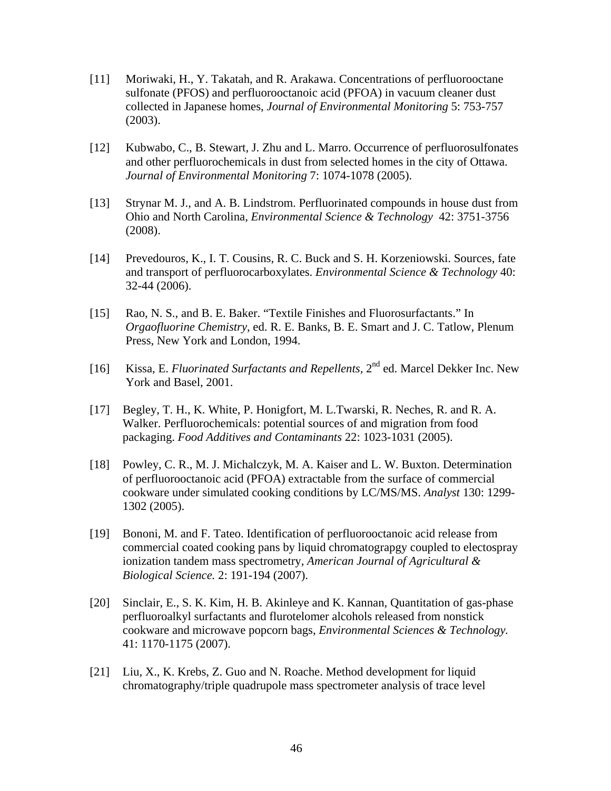- [11] Moriwaki, H., Y. Takatah, and R. Arakawa. Concentrations of perfluorooctane sulfonate (PFOS) and perfluorooctanoic acid (PFOA) in vacuum cleaner dust collected in Japanese homes, *Journal of Environmental Monitoring* 5: 753-757 (2003).
- [12] Kubwabo, C., B. Stewart, J. Zhu and L. Marro. Occurrence of perfluorosulfonates and other perfluorochemicals in dust from selected homes in the city of Ottawa. *Journal of Environmental Monitoring* 7: 1074-1078 (2005).
- [13] Strynar M. J., and A. B. Lindstrom. Perfluorinated compounds in house dust from Ohio and North Carolina, *Environmental Science & Technology* 42: 3751-3756 (2008).
- [14] Prevedouros, K., I. T. Cousins, R. C. Buck and S. H. Korzeniowski. Sources, fate and transport of perfluorocarboxylates. *Environmental Science & Technology* 40: 32-44 (2006).
- [15] Rao, N. S., and B. E. Baker. "Textile Finishes and Fluorosurfactants." In *Orgaofluorine Chemistry*, ed. R. E. Banks, B. E. Smart and J. C. Tatlow, Plenum Press, New York and London, 1994.
- [16] Kissa, E. *Fluorinated Surfactants and Repellents,* 2nd ed. Marcel Dekker Inc. New York and Basel, 2001.
- [17] Begley, T. H., K. White, P. Honigfort, M. L.Twarski, R. Neches, R. and R. A. Walker. Perfluorochemicals: potential sources of and migration from food packaging. *Food Additives and Contaminants* 22: 1023-1031 (2005).
- [18] Powley, C. R., M. J. Michalczyk, M. A. Kaiser and L. W. Buxton. Determination of perfluorooctanoic acid (PFOA) extractable from the surface of commercial cookware under simulated cooking conditions by LC/MS/MS. *Analyst* 130: 1299 1302 (2005).
- [19] Bononi, M. and F. Tateo. Identification of perfluorooctanoic acid release from commercial coated cooking pans by liquid chromatograpgy coupled to electospray ionization tandem mass spectrometry, *American Journal of Agricultural & Biological Science.* 2: 191-194 (2007).
- [20] Sinclair, E., S. K. Kim, H. B. Akinleye and K. Kannan, Quantitation of gas-phase perfluoroalkyl surfactants and flurotelomer alcohols released from nonstick cookware and microwave popcorn bags, *Environmental Sciences & Technology.*  41: 1170-1175 (2007).
- [21] Liu, X., K. Krebs, Z. Guo and N. Roache. Method development for liquid chromatography/triple quadrupole mass spectrometer analysis of trace level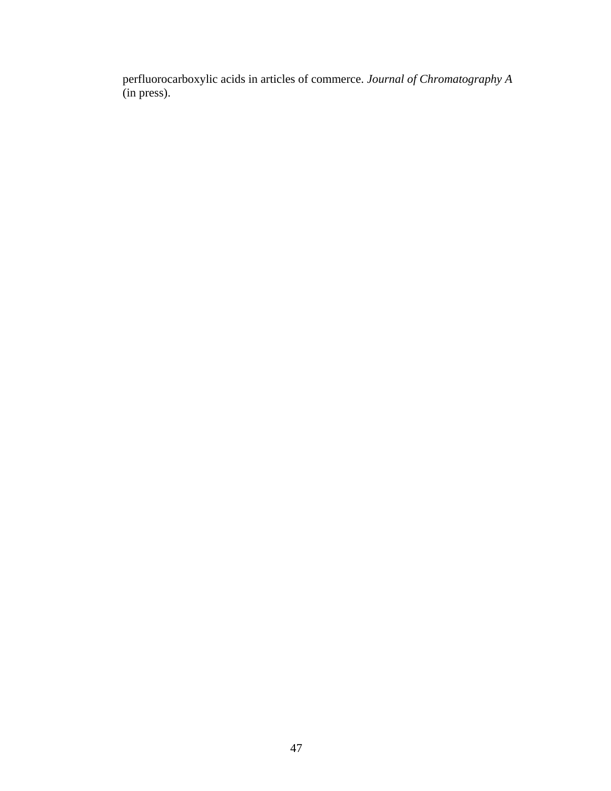perfluorocarboxylic acids in articles of commerce. *Journal of Chromatography A*  (in press).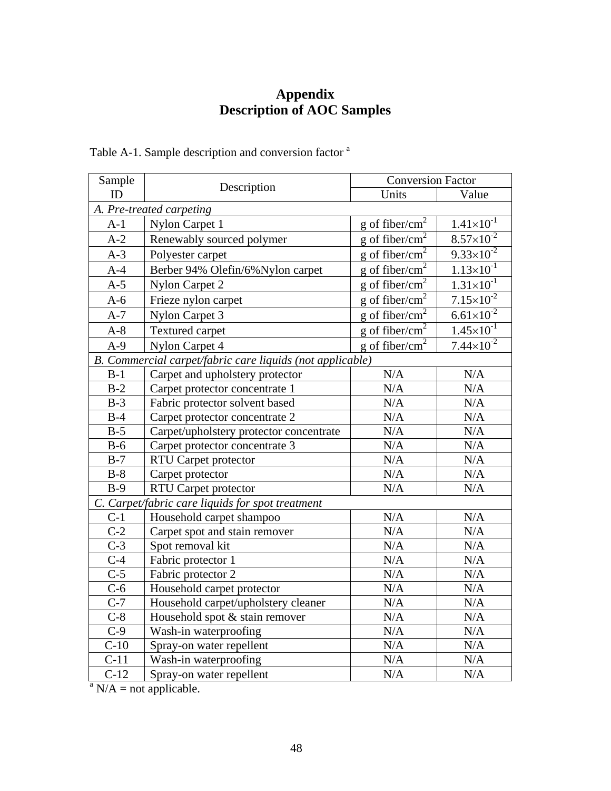# **Appendix Description of AOC Samples**

| Sample           |                                                           | <b>Conversion Factor</b>   |                       |  |  |
|------------------|-----------------------------------------------------------|----------------------------|-----------------------|--|--|
| ID               | Description                                               | Units                      | Value                 |  |  |
|                  | A. Pre-treated carpeting                                  |                            |                       |  |  |
| $A-1$            | Nylon Carpet 1                                            | g of fiber/cm <sup>2</sup> | $1.41 \times 10^{-1}$ |  |  |
| $A-2$            | Renewably sourced polymer                                 | g of fiber/cm <sup>2</sup> | $8.57 \times 10^{-2}$ |  |  |
| $A-3$            | Polyester carpet                                          | g of fiber/cm <sup>2</sup> | $9.33 \times 10^{-2}$ |  |  |
| $A-4$            | Berber 94% Olefin/6% Nylon carpet                         | g of fiber/cm <sup>2</sup> | $1.13 \times 10^{-1}$ |  |  |
| $A-5$            | <b>Nylon Carpet 2</b>                                     | g of fiber/ $cm2$          | $1.31 \times 10^{-1}$ |  |  |
| $A-6$            | Frieze nylon carpet                                       | g of fiber/cm <sup>2</sup> | $7.15 \times 10^{-2}$ |  |  |
| $A-7$            | Nylon Carpet 3                                            | g of fiber/cm <sup>2</sup> | $6.61 \times 10^{-2}$ |  |  |
| $A-8$            | <b>Textured carpet</b>                                    | g of fiber/ $cm2$          | $1.45 \times 10^{-1}$ |  |  |
| $A-9$            | Nylon Carpet 4                                            | g of fiber/ $cm2$          | $7.44 \times 10^{-2}$ |  |  |
|                  | B. Commercial carpet/fabric care liquids (not applicable) |                            |                       |  |  |
| $B-1$            | Carpet and upholstery protector                           | N/A                        | N/A                   |  |  |
| $B-2$            | Carpet protector concentrate 1                            | $\rm N/A$                  | N/A                   |  |  |
| $B-3$            | Fabric protector solvent based                            | N/A                        | N/A                   |  |  |
| $B-4$            | Carpet protector concentrate 2                            | N/A                        | N/A                   |  |  |
| $B-5$            | Carpet/upholstery protector concentrate                   | N/A                        | N/A                   |  |  |
| $B-6$            | Carpet protector concentrate 3                            | N/A                        | N/A                   |  |  |
| $B-7$            | <b>RTU Carpet protector</b>                               | $\rm N/A$                  | $\rm N/A$             |  |  |
| $B-8$            | Carpet protector                                          | N/A                        | N/A                   |  |  |
| $B-9$            | <b>RTU Carpet protector</b>                               | N/A                        | N/A                   |  |  |
|                  | C. Carpet/fabric care liquids for spot treatment          |                            |                       |  |  |
| $C-1$            | Household carpet shampoo                                  | N/A                        | N/A                   |  |  |
| $\overline{C-2}$ | Carpet spot and stain remover                             | N/A                        | $\rm N/A$             |  |  |
| $C-3$            | Spot removal kit                                          | N/A                        | N/A                   |  |  |
| $\overline{C-4}$ | Fabric protector 1                                        | N/A                        | N/A                   |  |  |
| $C-5$            | Fabric protector 2                                        | N/A                        | N/A                   |  |  |
| $C-6$            | Household carpet protector                                | N/A                        | N/A                   |  |  |
| $\overline{C-7}$ | Household carpet/upholstery cleaner                       | N/A                        | $\rm N/A$             |  |  |
| $\overline{C-8}$ | Household spot & stain remover                            | N/A                        | N/A                   |  |  |
| $\overline{C-9}$ | Wash-in waterproofing                                     | $\overline{N}/A$           | N/A                   |  |  |
| $C-10$           | Spray-on water repellent                                  | N/A                        | N/A                   |  |  |
| $C-11$           | Wash-in waterproofing                                     | N/A                        | N/A                   |  |  |
| $C-12$           | Spray-on water repellent                                  | N/A                        | N/A                   |  |  |
| $\overline{a}$   | $N/A$ = not applicable.                                   |                            |                       |  |  |

<span id="page-47-0"></span>Table A-1. Sample description and conversion factor <sup>a</sup>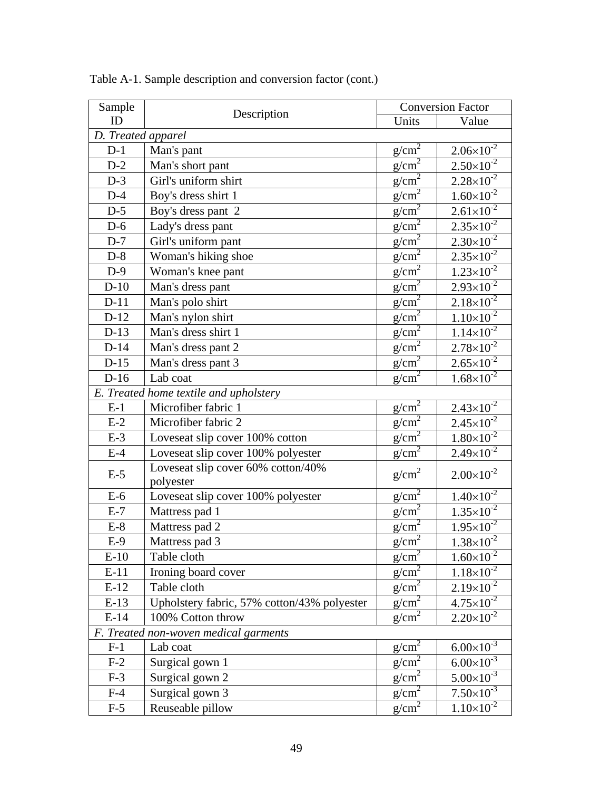| Sample             |                                                 |                   | <b>Conversion Factor</b>      |
|--------------------|-------------------------------------------------|-------------------|-------------------------------|
| ID                 | Description                                     | Units             | Value                         |
| D. Treated apparel |                                                 |                   |                               |
| $D-1$              | Man's pant                                      | $g/cm^2$          | $2.06 \times 10^{-2}$         |
| $D-2$              | Man's short pant                                | g/cm <sup>2</sup> | $2.50\times10^{-2}$           |
| $D-3$              | Girl's uniform shirt                            | g/cm <sup>2</sup> | $2.28 \times 10^{-2}$         |
| $D-4$              | Boy's dress shirt 1                             | g/cm <sup>2</sup> | $1.60 \times 10^{-2}$         |
| $D-5$              | Boy's dress pant 2                              | $g/cm^2$          | $2.61 \times 10^{-2}$         |
| $D-6$              | Lady's dress pant                               | g/cm <sup>2</sup> | $2.35 \times 10^{-2}$         |
| $D-7$              | Girl's uniform pant                             | g/cm <sup>2</sup> | $2.30\times10^{-2}$           |
| $D-8$              | Woman's hiking shoe                             | $g/cm^2$          | $2.35 \times 10^{-2}$         |
| $D-9$              | Woman's knee pant                               | $g/cm^2$          | $1.23 \times 10^{-2}$         |
| $D-10$             | Man's dress pant                                | $g/cm^2$          | $2.93 \times 10^{-2}$         |
| $D-11$             | Man's polo shirt                                | $g/cm^2$          | $2.18 \times 10^{-2}$         |
| $D-12$             | Man's nylon shirt                               | $g/cm^2$          | $1.10\times10^{-2}$           |
| $D-13$             | Man's dress shirt 1                             | $g/cm^2$          | $1.14 \times 10^{-2}$         |
| $D-14$             | Man's dress pant 2                              | g/cm <sup>2</sup> | $2.78 \times 10^{-2}$         |
| $D-15$             | Man's dress pant 3                              | g/cm <sup>2</sup> | $\frac{2.65\times10^{-2}}{2}$ |
| $D-16$             | Lab coat                                        | $g/cm^2$          | $1.68 \times 10^{-2}$         |
|                    | E. Treated home textile and upholstery          |                   |                               |
| $E-1$              | Microfiber fabric 1                             | $g/cm^2$          | $2.43\times10^{-2}$           |
| $E-2$              | Microfiber fabric 2                             | g/cm <sup>2</sup> | $2.45 \times 10^{-2}$         |
| $E-3$              | Loveseat slip cover 100% cotton                 | $g/cm^2$          | $1.80\times10^{-2}$           |
| $E-4$              | Loveseat slip cover 100% polyester              | $g/cm^2$          | $2.49\times10^{-2}$           |
| $E-5$              | Loveseat slip cover 60% cotton/40%<br>polyester | g/cm <sup>2</sup> | $2.00\times10^{-2}$           |
| $E-6$              | Loveseat slip cover 100% polyester              | $g/cm^2$          | $1.40\times10^{-2}$           |
| $E-7$              | Mattress pad 1                                  | g/cm <sup>2</sup> | $1.35 \times 10^{-2}$         |
| $E-8$              | Mattress pad 2                                  | g/cm <sup>2</sup> | $1.95 \times 10^{-2}$         |
| $E-9$              | Mattress pad 3                                  | $g/cm^2$          | $1.38 \times 10^{-2}$         |
| $E-10$             | Table cloth                                     | $g/cm^2$          | $1.60 \times 10^{-2}$         |
| $E-11$             | Ironing board cover                             | $g/cm^2$          | $1.18\times10^{-2}$           |
| $E-12$             | Table cloth                                     | g/cm <sup>2</sup> | $2.19\times10^{-2}$           |
| $E-13$             | Upholstery fabric, 57% cotton/43% polyester     | g/cm <sup>2</sup> | $4.75 \times 10^{-2}$         |
| $E-14$             | 100% Cotton throw                               | g/cm <sup>2</sup> | $2.20\times10^{-2}$           |
|                    | F. Treated non-woven medical garments           |                   |                               |
| $F-1$              | Lab coat                                        | $g/cm^2$          | $6.00\times10^{-3}$           |
| $F-2$              | Surgical gown 1                                 | g/cm <sup>2</sup> | $6.00\times10^{-3}$           |
| $F-3$              | Surgical gown 2                                 | g/cm <sup>2</sup> | $5.00\times10^{-3}$           |
| $F-4$              | Surgical gown 3                                 | g/cm <sup>2</sup> | $7.50\times10^{-3}$           |
| $F-5$              | Reuseable pillow                                | $g/cm^2$          | $1.10\times10^{-2}$           |

Table A-1. Sample description and conversion factor (cont.)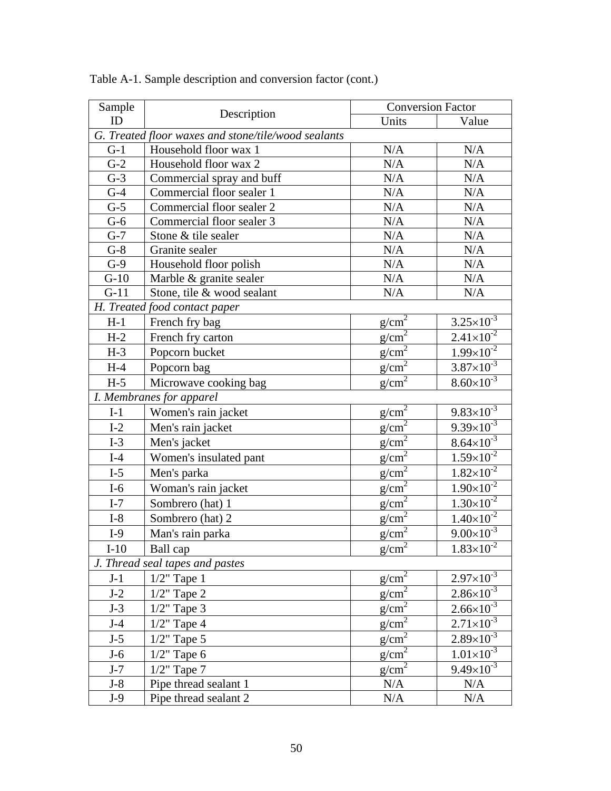| Sample |                                                     |                   | <b>Conversion Factor</b>                      |  |  |
|--------|-----------------------------------------------------|-------------------|-----------------------------------------------|--|--|
| ID     | Description                                         | Units             | Value                                         |  |  |
|        | G. Treated floor waxes and stone/tile/wood sealants |                   |                                               |  |  |
| $G-1$  | Household floor wax 1                               | N/A               | N/A                                           |  |  |
| $G-2$  | Household floor wax 2                               | N/A               | N/A                                           |  |  |
| $G-3$  | Commercial spray and buff                           | N/A               | N/A                                           |  |  |
| $G-4$  | Commercial floor sealer 1                           | N/A               | $\rm N/A$                                     |  |  |
| $G-5$  | Commercial floor sealer 2                           | N/A               | N/A                                           |  |  |
| $G-6$  | Commercial floor sealer 3                           | N/A               | N/A                                           |  |  |
| $G-7$  | Stone & tile sealer                                 | N/A               | N/A                                           |  |  |
| $G-8$  | Granite sealer                                      | N/A               | N/A                                           |  |  |
| $G-9$  | Household floor polish                              | $\rm N/A$         | $\rm N/A$                                     |  |  |
| $G-10$ | Marble & granite sealer                             | N/A               | N/A                                           |  |  |
| $G-11$ | Stone, tile & wood sealant                          | N/A               | N/A                                           |  |  |
|        | H. Treated food contact paper                       |                   |                                               |  |  |
| $H-1$  | French fry bag                                      | $g/cm^2$          | $3.25 \times 10^{-3}$                         |  |  |
| $H-2$  | French fry carton                                   | $g/cm^2$          | $2.41 \times 10^{-2}$                         |  |  |
| $H-3$  | Popcorn bucket                                      | g/cm <sup>2</sup> | $1.99 \times 10^{-2}$                         |  |  |
| $H-4$  | Popcorn bag                                         | $g/cm^2$          | $3.87\times10^{-3}$                           |  |  |
| $H-5$  | Microwave cooking bag                               | $g/cm^2$          | $8.60\times10^{-3}$                           |  |  |
|        | I. Membranes for apparel                            |                   |                                               |  |  |
| $I-1$  | Women's rain jacket                                 | g/cm <sup>2</sup> | $9.83 \times 10^{-3}$                         |  |  |
| $I-2$  | Men's rain jacket                                   | g/cm <sup>2</sup> | $9.39 \times 10^{-3}$                         |  |  |
| $I-3$  | Men's jacket                                        | $g/cm^2$          | $8.64 \times 10^{-3}$                         |  |  |
| $I-4$  | Women's insulated pant                              | $g/cm^2$          | $1.59\times10^{-2}$                           |  |  |
| $I-5$  | Men's parka                                         | g/cm <sup>2</sup> | $1.82 \times 10^{-2}$                         |  |  |
| $I-6$  | Woman's rain jacket                                 | g/cm <sup>2</sup> | $1.90\times10^{-2}$                           |  |  |
| $I-7$  | Sombrero (hat) 1                                    | $g/cm^2$          | $1.30\times10^{-2}$                           |  |  |
| $I-8$  | Sombrero (hat) 2                                    | $g/cm^2$          | $1.40\times10^{-2}$                           |  |  |
| $I-9$  | Man's rain parka                                    | $g/cm^2$          | $9.00 \times 10^{-3}$                         |  |  |
| $I-10$ | Ball cap                                            | $g/cm^2$          | $1.83 \times 10^{-2}$                         |  |  |
|        | J. Thread seal tapes and pastes                     |                   |                                               |  |  |
| $J-1$  | $1/2$ " Tape 1                                      | g/cm <sup>2</sup> | $\frac{2.97\times10^{-3}}{2.97\times10^{-3}}$ |  |  |
| $J-2$  | $1/2$ " Tape 2                                      | $g/cm^2$          | $2.86 \times 10^{-3}$                         |  |  |
| $J-3$  | $1/2$ " Tape 3                                      | $g/cm^2$          | $2.66 \times 10^{-3}$                         |  |  |
| $J-4$  | $1/2$ " Tape 4                                      | $g/cm^2$          | $2.71 \times 10^{-3}$                         |  |  |
| $J-5$  | $1/2$ " Tape 5                                      | $g/cm^2$          | $2.89\times10^{-3}$                           |  |  |
| $J-6$  | $1/2$ " Tape 6                                      | g/cm <sup>2</sup> | $1.01 \times 10^{-3}$                         |  |  |
| $J-7$  | $1/2$ " Tape 7                                      | $g/cm^2$          | $9.49 \times 10^{-3}$                         |  |  |
| $J-8$  | Pipe thread sealant 1                               | N/A               | N/A                                           |  |  |
| $J-9$  | Pipe thread sealant 2                               | N/A               | N/A                                           |  |  |

Table A-1. Sample description and conversion factor (cont.)